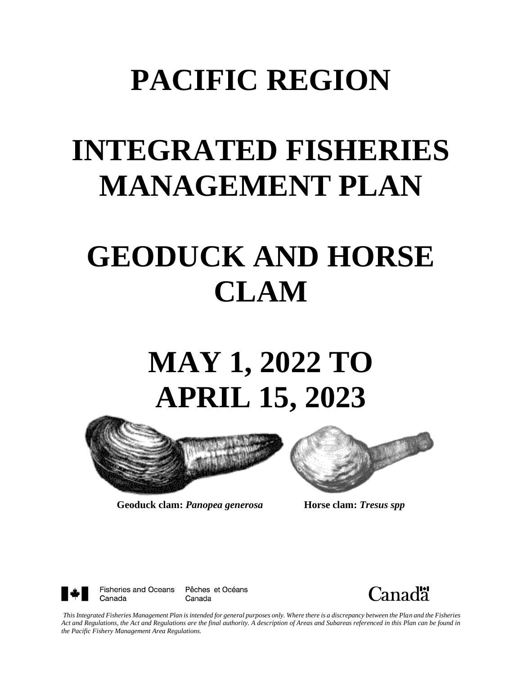## **PACIFIC REGION**

## **INTEGRATED FISHERIES MANAGEMENT PLAN**

## **GEODUCK AND HORSE CLAM**

# **MAY 1, 2022 TO APRIL 15, 2023**



**Geoduck clam:** *Panopea generosa* **Horse clam:** *Tresus spp*





Pêches et Océans Canada



*This Integrated Fisheries Management Plan is intended for general purposes only. Where there is a discrepancy between the Plan and the Fisheries*  Act and Regulations, the Act and Regulations are the final authority. A description of Areas and Subareas referenced in this Plan can be found in *the Pacific Fishery Management Area Regulations.*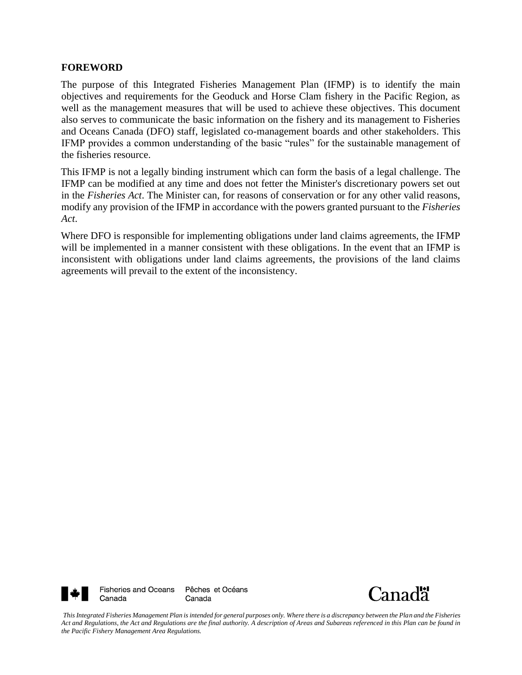#### **FOREWORD**

The purpose of this Integrated Fisheries Management Plan (IFMP) is to identify the main objectives and requirements for the Geoduck and Horse Clam fishery in the Pacific Region, as well as the management measures that will be used to achieve these objectives. This document also serves to communicate the basic information on the fishery and its management to Fisheries and Oceans Canada (DFO) staff, legislated co-management boards and other stakeholders. This IFMP provides a common understanding of the basic "rules" for the sustainable management of the fisheries resource.

This IFMP is not a legally binding instrument which can form the basis of a legal challenge. The IFMP can be modified at any time and does not fetter the Minister's discretionary powers set out in the *Fisheries Act*. The Minister can, for reasons of conservation or for any other valid reasons, modify any provision of the IFMP in accordance with the powers granted pursuant to the *Fisheries Act*.

Where DFO is responsible for implementing obligations under land claims agreements, the IFMP will be implemented in a manner consistent with these obligations. In the event that an IFMP is inconsistent with obligations under land claims agreements, the provisions of the land claims agreements will prevail to the extent of the inconsistency.





*This Integrated Fisheries Management Plan is intended for general purposes only. Where there is a discrepancy between the Plan and the Fisheries*  Act and Regulations, the Act and Regulations are the final authority. A description of Areas and Subareas referenced in this Plan can be found in *the Pacific Fishery Management Area Regulations.*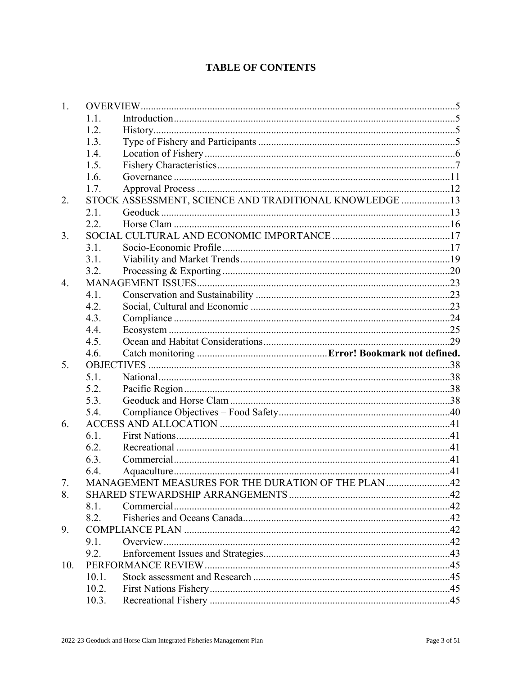## **TABLE OF CONTENTS**

| 1.  |                |                                                        |  |
|-----|----------------|--------------------------------------------------------|--|
|     | 1.1.           |                                                        |  |
|     | 1.2.           |                                                        |  |
|     | 1.3.           |                                                        |  |
|     | 1.4.           |                                                        |  |
|     | 1.5.           |                                                        |  |
|     | 1.6.           |                                                        |  |
|     | 1.7.           |                                                        |  |
| 2.  |                | STOCK ASSESSMENT, SCIENCE AND TRADITIONAL KNOWLEDGE 13 |  |
|     | 2.1.           |                                                        |  |
|     | 2.2.           |                                                        |  |
| 3.  |                |                                                        |  |
|     | 3.1.           |                                                        |  |
|     | 3.1.           |                                                        |  |
|     | 3.2.           |                                                        |  |
| 4.  |                |                                                        |  |
|     | 4.1.           |                                                        |  |
|     | 4.2.           |                                                        |  |
|     | 4.3.           |                                                        |  |
|     | 4.4.           |                                                        |  |
|     | 4.5.           |                                                        |  |
|     | 4.6.           |                                                        |  |
|     |                |                                                        |  |
| 5.  |                |                                                        |  |
|     | 5.1.           |                                                        |  |
|     | 5.2.           |                                                        |  |
|     | 5.3.           |                                                        |  |
|     | 5.4.           |                                                        |  |
| 6.  |                |                                                        |  |
|     | 6.1.           |                                                        |  |
|     | 6.2.           |                                                        |  |
|     | 6.3.           |                                                        |  |
|     | 6.4.           |                                                        |  |
| 7.  |                | MANAGEMENT MEASURES FOR THE DURATION OF THE PLAN 42    |  |
| 8.  |                |                                                        |  |
|     | 8.1.           |                                                        |  |
|     | 8.2.           |                                                        |  |
| 9.  |                |                                                        |  |
|     | 9.1.           |                                                        |  |
|     | 9.2.           |                                                        |  |
| 10. |                |                                                        |  |
|     | 10.1.          |                                                        |  |
|     | 10.2.<br>10.3. |                                                        |  |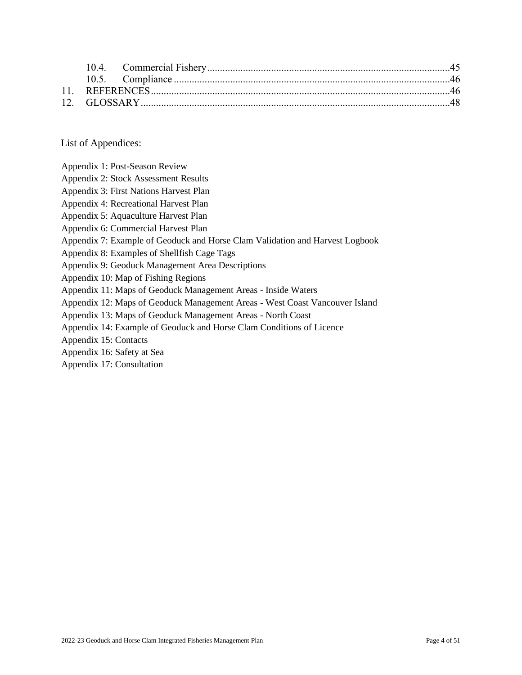List of Appendices:

- Appendix 2: Stock Assessment Results
- Appendix 3: First Nations Harvest Plan
- Appendix 4: Recreational Harvest Plan
- Appendix 5: Aquaculture Harvest Plan
- Appendix 6: Commercial Harvest Plan
- Appendix 7: Example of Geoduck and Horse Clam Validation and Harvest Logbook
- Appendix 8: Examples of Shellfish Cage Tags
- Appendix 9: Geoduck Management Area Descriptions
- Appendix 10: Map of Fishing Regions
- Appendix 11: Maps of Geoduck Management Areas Inside Waters
- Appendix 12: Maps of Geoduck Management Areas West Coast Vancouver Island
- Appendix 13: Maps of Geoduck Management Areas North Coast
- Appendix 14: Example of Geoduck and Horse Clam Conditions of Licence
- Appendix 15: Contacts
- Appendix 16: Safety at Sea
- Appendix 17: Consultation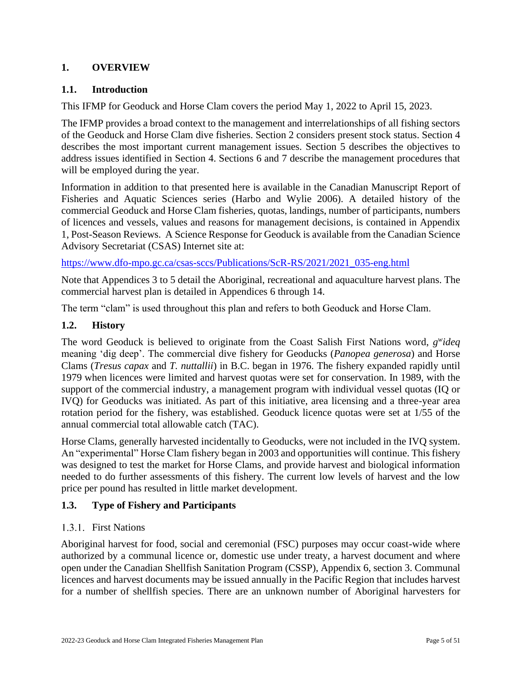## <span id="page-4-0"></span>**1. OVERVIEW**

## <span id="page-4-1"></span>**1.1. Introduction**

This IFMP for Geoduck and Horse Clam covers the period May 1, 2022 to April 15, 2023.

The IFMP provides a broad context to the management and interrelationships of all fishing sectors of the Geoduck and Horse Clam dive fisheries. Section 2 considers present stock status. Section 4 describes the most important current management issues. Section 5 describes the objectives to address issues identified in Section 4. Sections 6 and 7 describe the management procedures that will be employed during the year.

Information in addition to that presented here is available in the Canadian Manuscript Report of Fisheries and Aquatic Sciences series (Harbo and Wylie 2006). A detailed history of the commercial Geoduck and Horse Clam fisheries, quotas, landings, number of participants, numbers of licences and vessels, values and reasons for management decisions, is contained in Appendix 1, Post-Season Reviews. A Science Response for Geoduck is available from the Canadian Science Advisory Secretariat (CSAS) Internet site at:

[https://www.dfo-mpo.gc.ca/csas-sccs/Publications/ScR-RS/2021/2021\\_035-eng.html](https://www.dfo-mpo.gc.ca/csas-sccs/Publications/ScR-RS/2021/2021_035-eng.html)

Note that Appendices 3 to 5 detail the Aboriginal, recreational and aquaculture harvest plans. The commercial harvest plan is detailed in Appendices 6 through 14.

The term "clam" is used throughout this plan and refers to both Geoduck and Horse Clam.

## <span id="page-4-2"></span>**1.2. History**

The word Geoduck is believed to originate from the Coast Salish First Nations word, *g w ideq* meaning 'dig deep'. The commercial dive fishery for Geoducks (*Panopea generosa*) and Horse Clams (*Tresus capax* and *T. nuttallii*) in B.C. began in 1976. The fishery expanded rapidly until 1979 when licences were limited and harvest quotas were set for conservation. In 1989, with the support of the commercial industry, a management program with individual vessel quotas (IQ or IVQ) for Geoducks was initiated. As part of this initiative, area licensing and a three-year area rotation period for the fishery, was established. Geoduck licence quotas were set at 1/55 of the annual commercial total allowable catch (TAC).

Horse Clams, generally harvested incidentally to Geoducks, were not included in the IVQ system. An "experimental" Horse Clam fishery began in 2003 and opportunities will continue. This fishery was designed to test the market for Horse Clams, and provide harvest and biological information needed to do further assessments of this fishery. The current low levels of harvest and the low price per pound has resulted in little market development.

## <span id="page-4-3"></span>**1.3. Type of Fishery and Participants**

## 1.3.1. First Nations

Aboriginal harvest for food, social and ceremonial (FSC) purposes may occur coast-wide where authorized by a communal licence or, domestic use under treaty, a harvest document and where open under the Canadian Shellfish Sanitation Program (CSSP), Appendix 6, section 3. Communal licences and harvest documents may be issued annually in the Pacific Region that includes harvest for a number of shellfish species. There are an unknown number of Aboriginal harvesters for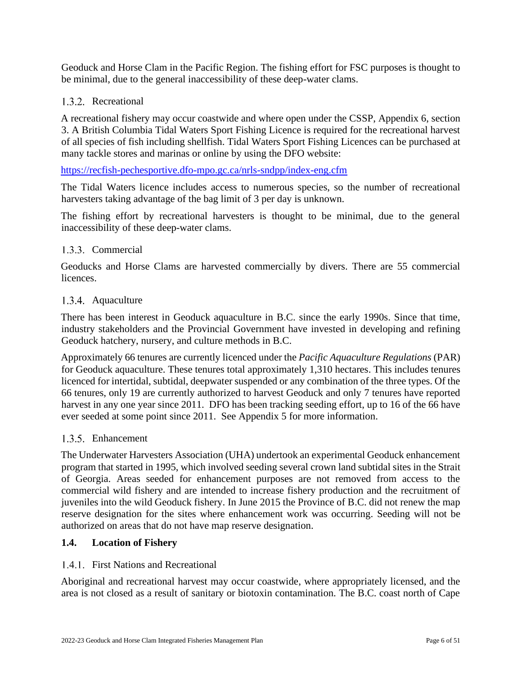Geoduck and Horse Clam in the Pacific Region. The fishing effort for FSC purposes is thought to be minimal, due to the general inaccessibility of these deep-water clams.

## 1.3.2. Recreational

A recreational fishery may occur coastwide and where open under the CSSP, Appendix 6, section 3. A British Columbia Tidal Waters Sport Fishing Licence is required for the recreational harvest of all species of fish including shellfish. Tidal Waters Sport Fishing Licences can be purchased at many tackle stores and marinas or online by using the DFO website:

#### <https://recfish-pechesportive.dfo-mpo.gc.ca/nrls-sndpp/index-eng.cfm>

The Tidal Waters licence includes access to numerous species, so the number of recreational harvesters taking advantage of the bag limit of 3 per day is unknown.

The fishing effort by recreational harvesters is thought to be minimal, due to the general inaccessibility of these deep-water clams.

### 1.3.3. Commercial

Geoducks and Horse Clams are harvested commercially by divers. There are 55 commercial licences.

### 1.3.4. Aquaculture

There has been interest in Geoduck aquaculture in B.C. since the early 1990s. Since that time, industry stakeholders and the Provincial Government have invested in developing and refining Geoduck hatchery, nursery, and culture methods in B.C.

Approximately 66 tenures are currently licenced under the *Pacific Aquaculture Regulations* (PAR) for Geoduck aquaculture. These tenures total approximately 1,310 hectares. This includes tenures licenced for intertidal, subtidal, deepwater suspended or any combination of the three types. Of the 66 tenures, only 19 are currently authorized to harvest Geoduck and only 7 tenures have reported harvest in any one year since 2011. DFO has been tracking seeding effort, up to 16 of the 66 have ever seeded at some point since 2011. See Appendix 5 for more information.

#### 1.3.5. Enhancement

The Underwater Harvesters Association (UHA) undertook an experimental Geoduck enhancement program that started in 1995, which involved seeding several crown land subtidal sites in the Strait of Georgia. Areas seeded for enhancement purposes are not removed from access to the commercial wild fishery and are intended to increase fishery production and the recruitment of juveniles into the wild Geoduck fishery. In June 2015 the Province of B.C. did not renew the map reserve designation for the sites where enhancement work was occurring. Seeding will not be authorized on areas that do not have map reserve designation.

#### <span id="page-5-0"></span>**1.4. Location of Fishery**

#### 1.4.1. First Nations and Recreational

Aboriginal and recreational harvest may occur coastwide, where appropriately licensed, and the area is not closed as a result of sanitary or biotoxin contamination. The B.C. coast north of Cape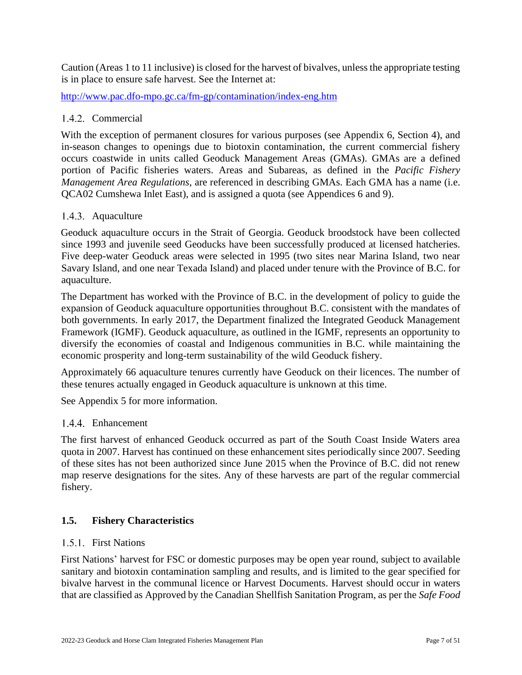Caution (Areas 1 to 11 inclusive) is closed for the harvest of bivalves, unless the appropriate testing is in place to ensure safe harvest. See the Internet at:

<http://www.pac.dfo-mpo.gc.ca/fm-gp/contamination/index-eng.htm>

### 1.4.2. Commercial

With the exception of permanent closures for various purposes (see Appendix 6, Section 4), and in-season changes to openings due to biotoxin contamination, the current commercial fishery occurs coastwide in units called Geoduck Management Areas (GMAs). GMAs are a defined portion of Pacific fisheries waters. Areas and Subareas, as defined in the *Pacific Fishery Management Area Regulations*, are referenced in describing GMAs. Each GMA has a name (i.e. QCA02 Cumshewa Inlet East), and is assigned a quota (see Appendices 6 and 9).

### 1.4.3. Aquaculture

Geoduck aquaculture occurs in the Strait of Georgia. Geoduck broodstock have been collected since 1993 and juvenile seed Geoducks have been successfully produced at licensed hatcheries. Five deep-water Geoduck areas were selected in 1995 (two sites near Marina Island, two near Savary Island, and one near Texada Island) and placed under tenure with the Province of B.C. for aquaculture.

The Department has worked with the Province of B.C. in the development of policy to guide the expansion of Geoduck aquaculture opportunities throughout B.C. consistent with the mandates of both governments. In early 2017, the Department finalized the Integrated Geoduck Management Framework (IGMF). Geoduck aquaculture, as outlined in the IGMF, represents an opportunity to diversify the economies of coastal and Indigenous communities in B.C. while maintaining the economic prosperity and long-term sustainability of the wild Geoduck fishery.

Approximately 66 aquaculture tenures currently have Geoduck on their licences. The number of these tenures actually engaged in Geoduck aquaculture is unknown at this time.

See Appendix 5 for more information.

#### 1.4.4. Enhancement

The first harvest of enhanced Geoduck occurred as part of the South Coast Inside Waters area quota in 2007. Harvest has continued on these enhancement sites periodically since 2007. Seeding of these sites has not been authorized since June 2015 when the Province of B.C. did not renew map reserve designations for the sites. Any of these harvests are part of the regular commercial fishery.

#### <span id="page-6-0"></span>**1.5. Fishery Characteristics**

#### 1.5.1 First Nations

First Nations' harvest for FSC or domestic purposes may be open year round, subject to available sanitary and biotoxin contamination sampling and results, and is limited to the gear specified for bivalve harvest in the communal licence or Harvest Documents. Harvest should occur in waters that are classified as Approved by the Canadian Shellfish Sanitation Program, as per the *Safe Food*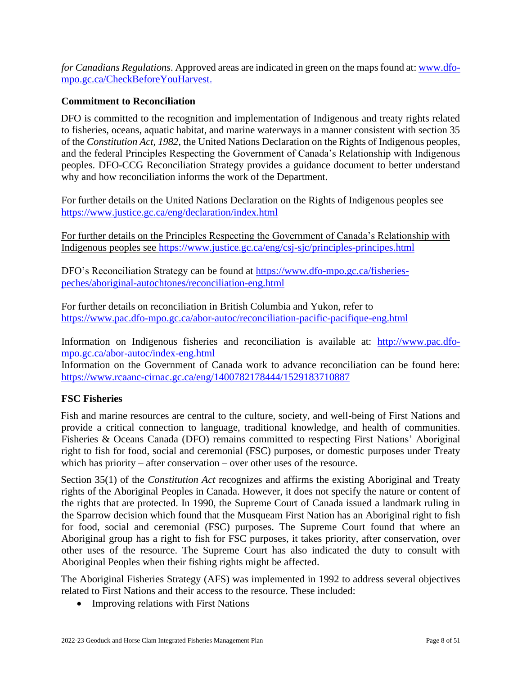*for Canadians Regulations*. Approved areas are indicated in green on the maps found at: [www.dfo](http://www.dfo-mpo.gc.ca/CheckBeforeYouHarvest)[mpo.gc.ca/CheckBeforeYouHarvest.](http://www.dfo-mpo.gc.ca/CheckBeforeYouHarvest)

### **Commitment to Reconciliation**

DFO is committed to the recognition and implementation of Indigenous and treaty rights related to fisheries, oceans, aquatic habitat, and marine waterways in a manner consistent with section 35 of the *Constitution Act, 1982*, the United Nations Declaration on the Rights of Indigenous peoples, and the federal Principles Respecting the Government of Canada's Relationship with Indigenous peoples. DFO-CCG Reconciliation Strategy provides a guidance document to better understand why and how reconciliation informs the work of the Department.

For further details on the United Nations Declaration on the Rights of Indigenous peoples see <https://www.justice.gc.ca/eng/declaration/index.html>

For further details on the Principles Respecting the Government of Canada's Relationship with Indigenous peoples see<https://www.justice.gc.ca/eng/csj-sjc/principles-principes.html>

DFO's Reconciliation Strategy can be found at [https://www.dfo-mpo.gc.ca/fisheries](https://www.dfo-mpo.gc.ca/fisheries-peches/aboriginal-autochtones/reconciliation-eng.html)[peches/aboriginal-autochtones/reconciliation-eng.html](https://www.dfo-mpo.gc.ca/fisheries-peches/aboriginal-autochtones/reconciliation-eng.html)

For further details on reconciliation in British Columbia and Yukon, refer to <https://www.pac.dfo-mpo.gc.ca/abor-autoc/reconciliation-pacific-pacifique-eng.html>

Information on Indigenous fisheries and reconciliation is available at: [http://www.pac.dfo](http://www.pac.dfo-mpo.gc.ca/abor-autoc/index-eng.html)[mpo.gc.ca/abor-autoc/index-eng.html](http://www.pac.dfo-mpo.gc.ca/abor-autoc/index-eng.html)

Information on the Government of Canada work to advance reconciliation can be found here: <https://www.rcaanc-cirnac.gc.ca/eng/1400782178444/1529183710887>

#### **FSC Fisheries**

Fish and marine resources are central to the culture, society, and well-being of First Nations and provide a critical connection to language, traditional knowledge, and health of communities. Fisheries & Oceans Canada (DFO) remains committed to respecting First Nations' Aboriginal right to fish for food, social and ceremonial (FSC) purposes, or domestic purposes under Treaty which has priority – after conservation – over other uses of the resource.

Section 35(1) of the *Constitution Act* recognizes and affirms the existing Aboriginal and Treaty rights of the Aboriginal Peoples in Canada. However, it does not specify the nature or content of the rights that are protected. In 1990, the Supreme Court of Canada issued a landmark ruling in the Sparrow decision which found that the Musqueam First Nation has an Aboriginal right to fish for food, social and ceremonial (FSC) purposes. The Supreme Court found that where an Aboriginal group has a right to fish for FSC purposes, it takes priority, after conservation, over other uses of the resource. The Supreme Court has also indicated the duty to consult with Aboriginal Peoples when their fishing rights might be affected.

The Aboriginal Fisheries Strategy (AFS) was implemented in 1992 to address several objectives related to First Nations and their access to the resource. These included:

• Improving relations with First Nations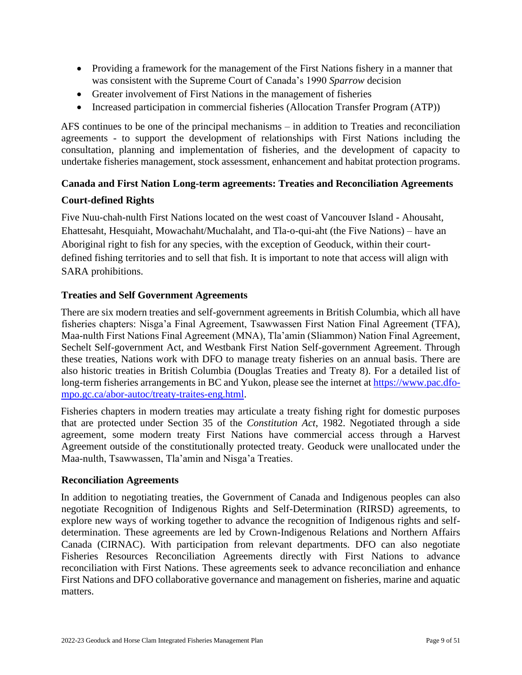- Providing a framework for the management of the First Nations fishery in a manner that was consistent with the Supreme Court of Canada's 1990 *Sparrow* decision
- Greater involvement of First Nations in the management of fisheries
- Increased participation in commercial fisheries (Allocation Transfer Program (ATP))

AFS continues to be one of the principal mechanisms – in addition to Treaties and reconciliation agreements - to support the development of relationships with First Nations including the consultation, planning and implementation of fisheries, and the development of capacity to undertake fisheries management, stock assessment, enhancement and habitat protection programs.

### **Canada and First Nation Long-term agreements: Treaties and Reconciliation Agreements**

### **Court-defined Rights**

Five Nuu-chah-nulth First Nations located on the west coast of Vancouver Island - Ahousaht, Ehattesaht, Hesquiaht, Mowachaht/Muchalaht, and Tla-o-qui-aht (the Five Nations) – have an Aboriginal right to fish for any species, with the exception of Geoduck, within their courtdefined fishing territories and to sell that fish. It is important to note that access will align with SARA prohibitions.

### **Treaties and Self Government Agreements**

There are six modern treaties and self-government agreements in British Columbia, which all have fisheries chapters: Nisga'a Final Agreement, Tsawwassen First Nation Final Agreement (TFA), Maa-nulth First Nations Final Agreement (MNA), Tla'amin (Sliammon) Nation Final Agreement, Sechelt Self-government Act, and Westbank First Nation Self-government Agreement. Through these treaties, Nations work with DFO to manage treaty fisheries on an annual basis. There are also historic treaties in British Columbia (Douglas Treaties and Treaty 8). For a detailed list of long-term fisheries arrangements in BC and Yukon, please see the internet at [https://www.pac.dfo](https://www.pac.dfo-mpo.gc.ca/abor-autoc/treaty-traites-eng.html)[mpo.gc.ca/abor-autoc/treaty-traites-eng.html.](https://www.pac.dfo-mpo.gc.ca/abor-autoc/treaty-traites-eng.html)

Fisheries chapters in modern treaties may articulate a treaty fishing right for domestic purposes that are protected under Section 35 of the *Constitution Act*, 1982. Negotiated through a side agreement, some modern treaty First Nations have commercial access through a Harvest Agreement outside of the constitutionally protected treaty. Geoduck were unallocated under the Maa-nulth, Tsawwassen, Tla'amin and Nisga'a Treaties.

#### **Reconciliation Agreements**

In addition to negotiating treaties, the Government of Canada and Indigenous peoples can also negotiate Recognition of Indigenous Rights and Self-Determination (RIRSD) agreements, to explore new ways of working together to advance the recognition of Indigenous rights and selfdetermination. These agreements are led by Crown-Indigenous Relations and Northern Affairs Canada (CIRNAC). With participation from relevant departments. DFO can also negotiate Fisheries Resources Reconciliation Agreements directly with First Nations to advance reconciliation with First Nations. These agreements seek to advance reconciliation and enhance First Nations and DFO collaborative governance and management on fisheries, marine and aquatic matters.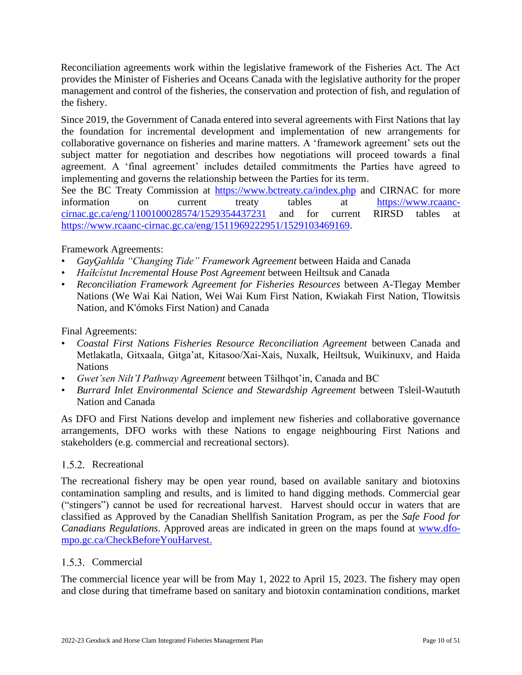Reconciliation agreements work within the legislative framework of the Fisheries Act. The Act provides the Minister of Fisheries and Oceans Canada with the legislative authority for the proper management and control of the fisheries, the conservation and protection of fish, and regulation of the fishery.

Since 2019, the Government of Canada entered into several agreements with First Nations that lay the foundation for incremental development and implementation of new arrangements for collaborative governance on fisheries and marine matters. A 'framework agreement' sets out the subject matter for negotiation and describes how negotiations will proceed towards a final agreement. A 'final agreement' includes detailed commitments the Parties have agreed to implementing and governs the relationship between the Parties for its term.

See the BC Treaty Commission at <https://www.bctreaty.ca/index.php> and CIRNAC for more information on current treaty tables at [https://www.rcaanc](https://www.rcaanc-cirnac.gc.ca/eng/1100100028574/1529354437231)[cirnac.gc.ca/eng/1100100028574/1529354437231](https://www.rcaanc-cirnac.gc.ca/eng/1100100028574/1529354437231) and for current RIRSD tables at [https://www.rcaanc-cirnac.gc.ca/eng/1511969222951/1529103469169.](https://www.rcaanc-cirnac.gc.ca/eng/1511969222951/1529103469169)

## Framework Agreements:

- *GayG̱ahlda "Changing Tide" Framework Agreement* between Haida and Canada
- *Haíɫcístut Incremental House Post Agreement* between Heiltsuk and Canada
- *Reconciliation Framework Agreement for Fisheries Resources* between A-Tlegay Member Nations (We Wai Kai Nation, Wei Wai Kum First Nation, Kwiakah First Nation, Tlowitsis Nation, and K'ómoks First Nation) and Canada

## Final Agreements:

- *Coastal First Nations Fisheries Resource Reconciliation Agreement* between Canada and Metlakatla, Gitxaala, Gitga'at, Kitasoo/Xai-Xais, Nuxalk, Heiltsuk, Wuikinuxv, and Haida **Nations**
- *Gwet'sen Nilt'I Pathway Agreement* between Tŝilhqot'in, Canada and BC
- *Burrard Inlet Environmental Science and Stewardship Agreement* between Tsleil-Waututh Nation and Canada

As DFO and First Nations develop and implement new fisheries and collaborative governance arrangements, DFO works with these Nations to engage neighbouring First Nations and stakeholders (e.g. commercial and recreational sectors).

## 1.5.2. Recreational

The recreational fishery may be open year round, based on available sanitary and biotoxins contamination sampling and results, and is limited to hand digging methods. Commercial gear ("stingers") cannot be used for recreational harvest. Harvest should occur in waters that are classified as Approved by the Canadian Shellfish Sanitation Program, as per the *Safe Food for Canadians Regulations*. Approved areas are indicated in green on the maps found at [www.dfo](http://www.dfo-mpo.gc.ca/CheckBeforeYouHarvest)[mpo.gc.ca/CheckBeforeYouHarvest.](http://www.dfo-mpo.gc.ca/CheckBeforeYouHarvest)

## 1.5.3. Commercial

The commercial licence year will be from May 1, 2022 to April 15, 2023. The fishery may open and close during that timeframe based on sanitary and biotoxin contamination conditions, market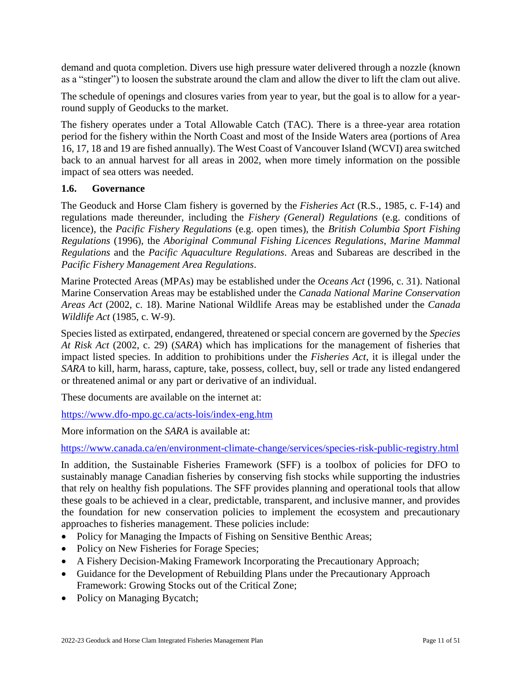demand and quota completion. Divers use high pressure water delivered through a nozzle (known as a "stinger") to loosen the substrate around the clam and allow the diver to lift the clam out alive.

The schedule of openings and closures varies from year to year, but the goal is to allow for a yearround supply of Geoducks to the market.

The fishery operates under a Total Allowable Catch (TAC). There is a three-year area rotation period for the fishery within the North Coast and most of the Inside Waters area (portions of Area 16, 17, 18 and 19 are fished annually). The West Coast of Vancouver Island (WCVI) area switched back to an annual harvest for all areas in 2002, when more timely information on the possible impact of sea otters was needed.

#### <span id="page-10-0"></span>**1.6. Governance**

The Geoduck and Horse Clam fishery is governed by the *Fisheries Act* (R.S., 1985, c. F-14) and regulations made thereunder, including the *Fishery (General) Regulations* (e.g. conditions of licence), the *Pacific Fishery Regulations* (e.g. open times), the *British Columbia Sport Fishing Regulations* (1996), the *Aboriginal Communal Fishing Licences Regulations*, *Marine Mammal Regulations* and the *Pacific Aquaculture Regulations*. Areas and Subareas are described in the *Pacific Fishery Management Area Regulations*.

Marine Protected Areas (MPAs) may be established under the *Oceans Act* (1996, c. 31). National Marine Conservation Areas may be established under the *Canada National Marine Conservation Areas Act* (2002, c. 18). Marine National Wildlife Areas may be established under the *Canada Wildlife Act* (1985, c. W-9).

Species listed as extirpated, endangered, threatened or special concern are governed by the *Species At Risk Act* (2002, c. 29) (*SARA*) which has implications for the management of fisheries that impact listed species. In addition to prohibitions under the *Fisheries Act*, it is illegal under the *SARA* to kill, harm, harass, capture, take, possess, collect, buy, sell or trade any listed endangered or threatened animal or any part or derivative of an individual.

These documents are available on the internet at:

<https://www.dfo-mpo.gc.ca/acts-lois/index-eng.htm>

More information on the *SARA* is available at:

<https://www.canada.ca/en/environment-climate-change/services/species-risk-public-registry.html>

In addition, the Sustainable Fisheries Framework (SFF) is a toolbox of policies for DFO to sustainably manage Canadian fisheries by conserving fish stocks while supporting the industries that rely on healthy fish populations. The SFF provides planning and operational tools that allow these goals to be achieved in a clear, predictable, transparent, and inclusive manner, and provides the foundation for new conservation policies to implement the ecosystem and precautionary approaches to fisheries management. These policies include:

- Policy for Managing the Impacts of Fishing on Sensitive Benthic Areas;
- Policy on New Fisheries for Forage Species;
- A Fishery Decision-Making Framework Incorporating the Precautionary Approach;
- Guidance for the Development of Rebuilding Plans under the Precautionary Approach Framework: Growing Stocks out of the Critical Zone;
- Policy on Managing Bycatch;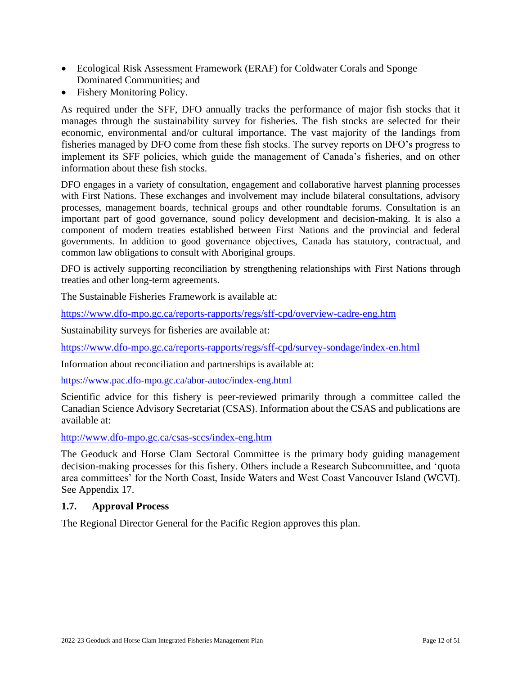- Ecological Risk Assessment Framework (ERAF) for Coldwater Corals and Sponge Dominated Communities; and
- Fishery Monitoring Policy.

As required under the SFF, DFO annually tracks the performance of major fish stocks that it manages through the sustainability survey for fisheries. The fish stocks are selected for their economic, environmental and/or cultural importance. The vast majority of the landings from fisheries managed by DFO come from these fish stocks. The survey reports on DFO's progress to implement its SFF policies, which guide the management of Canada's fisheries, and on other information about these fish stocks.

DFO engages in a variety of consultation, engagement and collaborative harvest planning processes with First Nations. These exchanges and involvement may include bilateral consultations, advisory processes, management boards, technical groups and other roundtable forums. Consultation is an important part of good governance, sound policy development and decision-making. It is also a component of modern treaties established between First Nations and the provincial and federal governments. In addition to good governance objectives, Canada has statutory, contractual, and common law obligations to consult with Aboriginal groups.

DFO is actively supporting reconciliation by strengthening relationships with First Nations through treaties and other long-term agreements.

The Sustainable Fisheries Framework is available at:

<https://www.dfo-mpo.gc.ca/reports-rapports/regs/sff-cpd/overview-cadre-eng.htm>

Sustainability surveys for fisheries are available at:

<https://www.dfo-mpo.gc.ca/reports-rapports/regs/sff-cpd/survey-sondage/index-en.html>

Information about reconciliation and partnerships is available at:

<https://www.pac.dfo-mpo.gc.ca/abor-autoc/index-eng.html>

Scientific advice for this fishery is peer-reviewed primarily through a committee called the Canadian Science Advisory Secretariat (CSAS). Information about the CSAS and publications are available at:

<http://www.dfo-mpo.gc.ca/csas-sccs/index-eng.htm>

The Geoduck and Horse Clam Sectoral Committee is the primary body guiding management decision-making processes for this fishery. Others include a Research Subcommittee, and 'quota area committees' for the North Coast, Inside Waters and West Coast Vancouver Island (WCVI). See Appendix 17.

#### <span id="page-11-0"></span>**1.7. Approval Process**

The Regional Director General for the Pacific Region approves this plan.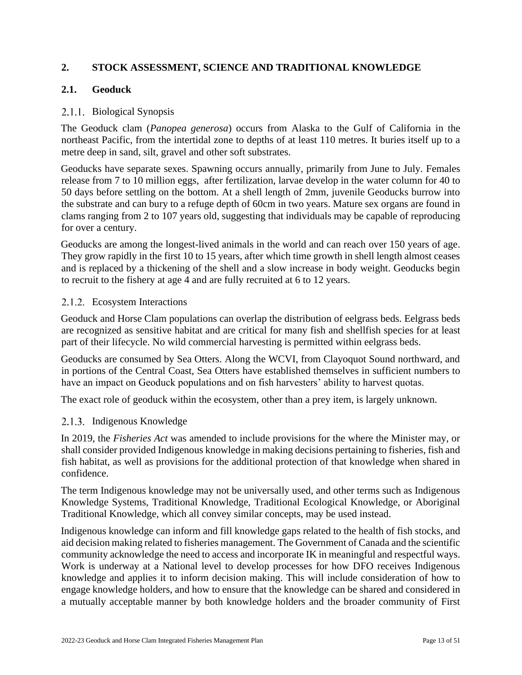## <span id="page-12-0"></span>**2. STOCK ASSESSMENT, SCIENCE AND TRADITIONAL KNOWLEDGE**

## <span id="page-12-1"></span>**2.1. Geoduck**

## 2.1.1. Biological Synopsis

The Geoduck clam (*Panopea generosa*) occurs from Alaska to the Gulf of California in the northeast Pacific, from the intertidal zone to depths of at least 110 metres. It buries itself up to a metre deep in sand, silt, gravel and other soft substrates.

Geoducks have separate sexes. Spawning occurs annually, primarily from June to July. Females release from 7 to 10 million eggs, after fertilization, larvae develop in the water column for 40 to 50 days before settling on the bottom. At a shell length of 2mm, juvenile Geoducks burrow into the substrate and can bury to a refuge depth of 60cm in two years. Mature sex organs are found in clams ranging from 2 to 107 years old, suggesting that individuals may be capable of reproducing for over a century.

Geoducks are among the longest-lived animals in the world and can reach over 150 years of age. They grow rapidly in the first 10 to 15 years, after which time growth in shell length almost ceases and is replaced by a thickening of the shell and a slow increase in body weight. Geoducks begin to recruit to the fishery at age 4 and are fully recruited at 6 to 12 years.

### 2.1.2. Ecosystem Interactions

Geoduck and Horse Clam populations can overlap the distribution of eelgrass beds. Eelgrass beds are recognized as sensitive habitat and are critical for many fish and shellfish species for at least part of their lifecycle. No wild commercial harvesting is permitted within eelgrass beds.

Geoducks are consumed by Sea Otters. Along the WCVI, from Clayoquot Sound northward, and in portions of the Central Coast, Sea Otters have established themselves in sufficient numbers to have an impact on Geoduck populations and on fish harvesters' ability to harvest quotas.

The exact role of geoduck within the ecosystem, other than a prey item, is largely unknown.

## 2.1.3. Indigenous Knowledge

In 2019, the *Fisheries Act* was amended to include provisions for the where the Minister may, or shall consider provided Indigenous knowledge in making decisions pertaining to fisheries, fish and fish habitat, as well as provisions for the additional protection of that knowledge when shared in confidence.

The term Indigenous knowledge may not be universally used, and other terms such as Indigenous Knowledge Systems, Traditional Knowledge, Traditional Ecological Knowledge, or Aboriginal Traditional Knowledge, which all convey similar concepts, may be used instead.

Indigenous knowledge can inform and fill knowledge gaps related to the health of fish stocks, and aid decision making related to fisheries management. The Government of Canada and the scientific community acknowledge the need to access and incorporate IK in meaningful and respectful ways. Work is underway at a National level to develop processes for how DFO receives Indigenous knowledge and applies it to inform decision making. This will include consideration of how to engage knowledge holders, and how to ensure that the knowledge can be shared and considered in a mutually acceptable manner by both knowledge holders and the broader community of First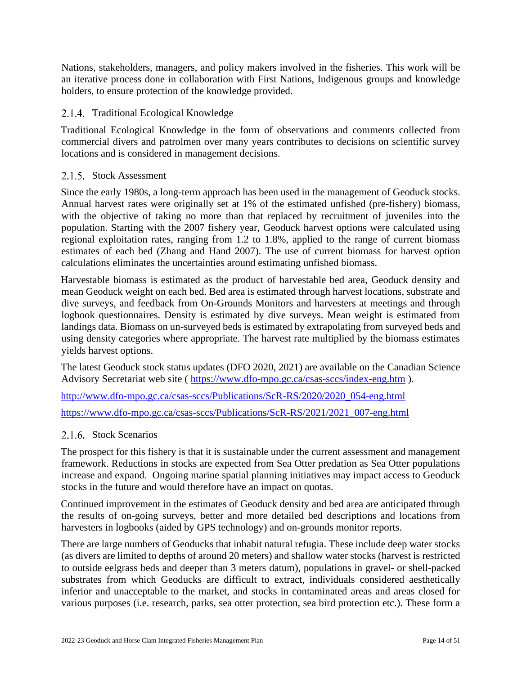Nations, stakeholders, managers, and policy makers involved in the fisheries. This work will be an iterative process done in collaboration with First Nations, Indigenous groups and knowledge holders, to ensure protection of the knowledge provided.

### 2.1.4. Traditional Ecological Knowledge

Traditional Ecological Knowledge in the form of observations and comments collected from commercial divers and patrolmen over many years contributes to decisions on scientific survey locations and is considered in management decisions.

#### 2.1.5. Stock Assessment

Since the early 1980s, a long-term approach has been used in the management of Geoduck stocks. Annual harvest rates were originally set at 1% of the estimated unfished (pre-fishery) biomass, with the objective of taking no more than that replaced by recruitment of juveniles into the population. Starting with the 2007 fishery year, Geoduck harvest options were calculated using regional exploitation rates, ranging from 1.2 to 1.8%, applied to the range of current biomass estimates of each bed (Zhang and Hand 2007). The use of current biomass for harvest option calculations eliminates the uncertainties around estimating unfished biomass.

Harvestable biomass is estimated as the product of harvestable bed area, Geoduck density and mean Geoduck weight on each bed. Bed area is estimated through harvest locations, substrate and dive surveys, and feedback from On-Grounds Monitors and harvesters at meetings and through logbook questionnaires. Density is estimated by dive surveys. Mean weight is estimated from landings data. Biomass on un-surveyed beds is estimated by extrapolating from surveyed beds and using density categories where appropriate. The harvest rate multiplied by the biomass estimates yields harvest options.

The latest Geoduck stock status updates (DFO 2020, 2021) are available on the Canadian Science Advisory Secretariat web site (<https://www.dfo-mpo.gc.ca/csas-sccs/index-eng.htm> ).

[http://www.dfo-mpo.gc.ca/csas-sccs/Publications/ScR-RS/2020/2020\\_054-eng.html](http://www.dfo-mpo.gc.ca/csas-sccs/Publications/ScR-RS/2020/2020_054-eng.html)

[https://www.dfo-mpo.gc.ca/csas-sccs/Publications/ScR-RS/2021/2021\\_007-eng.html](https://www.dfo-mpo.gc.ca/csas-sccs/Publications/ScR-RS/2021/2021_007-eng.html)

#### 2.1.6 Stock Scenarios

The prospect for this fishery is that it is sustainable under the current assessment and management framework. Reductions in stocks are expected from Sea Otter predation as Sea Otter populations increase and expand. Ongoing marine spatial planning initiatives may impact access to Geoduck stocks in the future and would therefore have an impact on quotas.

Continued improvement in the estimates of Geoduck density and bed area are anticipated through the results of on-going surveys, better and more detailed bed descriptions and locations from harvesters in logbooks (aided by GPS technology) and on-grounds monitor reports.

There are large numbers of Geoducks that inhabit natural refugia. These include deep water stocks (as divers are limited to depths of around 20 meters) and shallow water stocks (harvest is restricted to outside eelgrass beds and deeper than 3 meters datum), populations in gravel- or shell-packed substrates from which Geoducks are difficult to extract, individuals considered aesthetically inferior and unacceptable to the market, and stocks in contaminated areas and areas closed for various purposes (i.e. research, parks, sea otter protection, sea bird protection etc.). These form a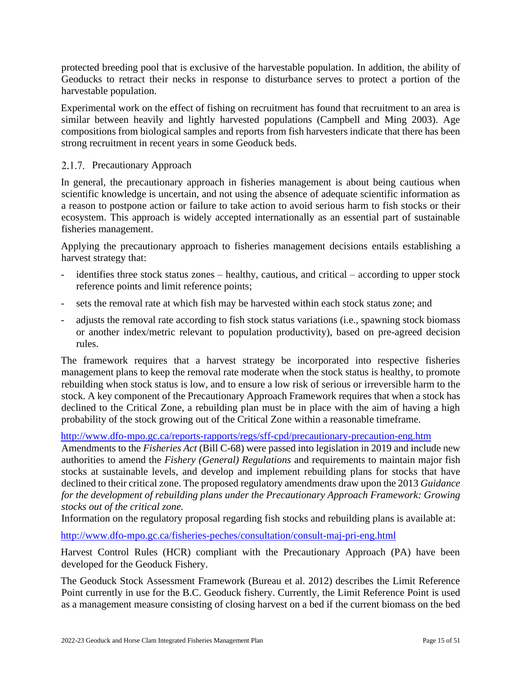protected breeding pool that is exclusive of the harvestable population. In addition, the ability of Geoducks to retract their necks in response to disturbance serves to protect a portion of the harvestable population.

Experimental work on the effect of fishing on recruitment has found that recruitment to an area is similar between heavily and lightly harvested populations (Campbell and Ming 2003). Age compositions from biological samples and reports from fish harvesters indicate that there has been strong recruitment in recent years in some Geoduck beds.

## 2.1.7. Precautionary Approach

In general, the precautionary approach in fisheries management is about being cautious when scientific knowledge is uncertain, and not using the absence of adequate scientific information as a reason to postpone action or failure to take action to avoid serious harm to fish stocks or their ecosystem. This approach is widely accepted internationally as an essential part of sustainable fisheries management.

Applying the precautionary approach to fisheries management decisions entails establishing a harvest strategy that:

- identifies three stock status zones healthy, cautious, and critical according to upper stock reference points and limit reference points;
- sets the removal rate at which fish may be harvested within each stock status zone; and
- adjusts the removal rate according to fish stock status variations (i.e., spawning stock biomass or another index/metric relevant to population productivity), based on pre-agreed decision rules.

The framework requires that a harvest strategy be incorporated into respective fisheries management plans to keep the removal rate moderate when the stock status is healthy, to promote rebuilding when stock status is low, and to ensure a low risk of serious or irreversible harm to the stock. A key component of the Precautionary Approach Framework requires that when a stock has declined to the Critical Zone, a rebuilding plan must be in place with the aim of having a high probability of the stock growing out of the Critical Zone within a reasonable timeframe.

<http://www.dfo-mpo.gc.ca/reports-rapports/regs/sff-cpd/precautionary-precaution-eng.htm>

Amendments to the *Fisheries Act* (Bill C-68) were passed into legislation in 2019 and include new authorities to amend the *Fishery (General) Regulations* and requirements to maintain major fish stocks at sustainable levels, and develop and implement rebuilding plans for stocks that have declined to their critical zone. The proposed regulatory amendments draw upon the 2013 *Guidance for the development of rebuilding plans under the Precautionary Approach Framework: Growing stocks out of the critical zone.* 

Information on the regulatory proposal regarding fish stocks and rebuilding plans is available at:

<http://www.dfo-mpo.gc.ca/fisheries-peches/consultation/consult-maj-pri-eng.html>

Harvest Control Rules (HCR) compliant with the Precautionary Approach (PA) have been developed for the Geoduck Fishery.

The Geoduck Stock Assessment Framework (Bureau et al. 2012) describes the Limit Reference Point currently in use for the B.C. Geoduck fishery. Currently, the Limit Reference Point is used as a management measure consisting of closing harvest on a bed if the current biomass on the bed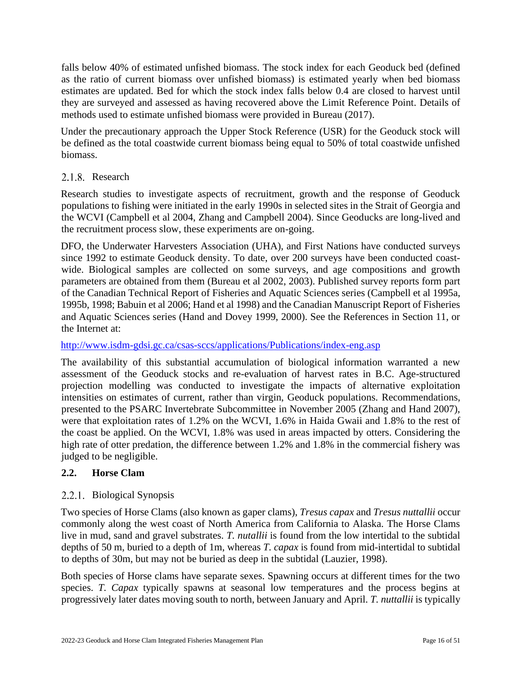falls below 40% of estimated unfished biomass. The stock index for each Geoduck bed (defined as the ratio of current biomass over unfished biomass) is estimated yearly when bed biomass estimates are updated. Bed for which the stock index falls below 0.4 are closed to harvest until they are surveyed and assessed as having recovered above the Limit Reference Point. Details of methods used to estimate unfished biomass were provided in Bureau (2017).

Under the precautionary approach the Upper Stock Reference (USR) for the Geoduck stock will be defined as the total coastwide current biomass being equal to 50% of total coastwide unfished biomass.

## 2.1.8. Research

Research studies to investigate aspects of recruitment, growth and the response of Geoduck populations to fishing were initiated in the early 1990s in selected sites in the Strait of Georgia and the WCVI (Campbell et al 2004, Zhang and Campbell 2004). Since Geoducks are long-lived and the recruitment process slow, these experiments are on-going.

DFO, the Underwater Harvesters Association (UHA), and First Nations have conducted surveys since 1992 to estimate Geoduck density. To date, over 200 surveys have been conducted coastwide. Biological samples are collected on some surveys, and age compositions and growth parameters are obtained from them (Bureau et al 2002, 2003). Published survey reports form part of the Canadian Technical Report of Fisheries and Aquatic Sciences series (Campbell et al 1995a, 1995b, 1998; Babuin et al 2006; Hand et al 1998) and the Canadian Manuscript Report of Fisheries and Aquatic Sciences series (Hand and Dovey 1999, 2000). See the References in Section 11, or the Internet at:

## <http://www.isdm-gdsi.gc.ca/csas-sccs/applications/Publications/index-eng.asp>

The availability of this substantial accumulation of biological information warranted a new assessment of the Geoduck stocks and re-evaluation of harvest rates in B.C. Age-structured projection modelling was conducted to investigate the impacts of alternative exploitation intensities on estimates of current, rather than virgin, Geoduck populations. Recommendations, presented to the PSARC Invertebrate Subcommittee in November 2005 (Zhang and Hand 2007), were that exploitation rates of 1.2% on the WCVI, 1.6% in Haida Gwaii and 1.8% to the rest of the coast be applied. On the WCVI, 1.8% was used in areas impacted by otters. Considering the high rate of otter predation, the difference between 1.2% and 1.8% in the commercial fishery was judged to be negligible.

## <span id="page-15-0"></span>**2.2. Horse Clam**

## 2.2.1. Biological Synopsis

Two species of Horse Clams (also known as gaper clams), *Tresus capax* and *Tresus nuttallii* occur commonly along the west coast of North America from California to Alaska. The Horse Clams live in mud, sand and gravel substrates. *T. nutallii* is found from the low intertidal to the subtidal depths of 50 m, buried to a depth of 1m, whereas *T. capax* is found from mid-intertidal to subtidal to depths of 30m, but may not be buried as deep in the subtidal (Lauzier, 1998).

Both species of Horse clams have separate sexes. Spawning occurs at different times for the two species. *T. Capax* typically spawns at seasonal low temperatures and the process begins at progressively later dates moving south to north, between January and April. *T. nuttallii* is typically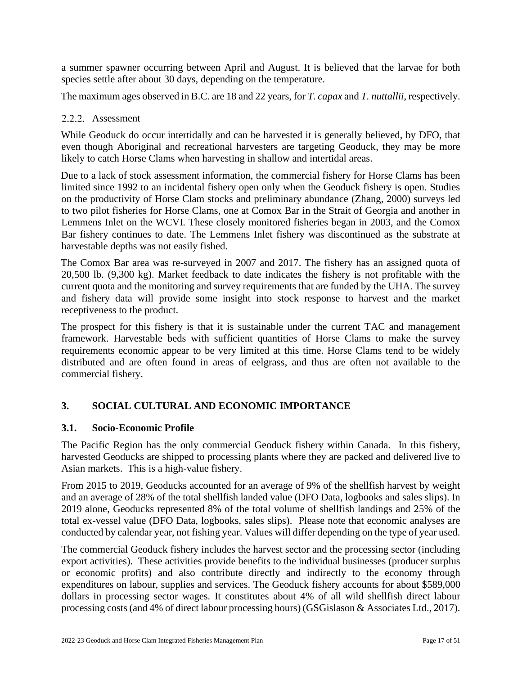a summer spawner occurring between April and August. It is believed that the larvae for both species settle after about 30 days, depending on the temperature.

The maximum ages observed in B.C. are 18 and 22 years, for *T. capax* and *T. nuttallii*, respectively.

#### 2.2.2. Assessment

While Geoduck do occur intertidally and can be harvested it is generally believed, by DFO, that even though Aboriginal and recreational harvesters are targeting Geoduck, they may be more likely to catch Horse Clams when harvesting in shallow and intertidal areas.

Due to a lack of stock assessment information, the commercial fishery for Horse Clams has been limited since 1992 to an incidental fishery open only when the Geoduck fishery is open. Studies on the productivity of Horse Clam stocks and preliminary abundance (Zhang, 2000) surveys led to two pilot fisheries for Horse Clams, one at Comox Bar in the Strait of Georgia and another in Lemmens Inlet on the WCVI. These closely monitored fisheries began in 2003, and the Comox Bar fishery continues to date. The Lemmens Inlet fishery was discontinued as the substrate at harvestable depths was not easily fished.

The Comox Bar area was re-surveyed in 2007 and 2017. The fishery has an assigned quota of 20,500 lb. (9,300 kg). Market feedback to date indicates the fishery is not profitable with the current quota and the monitoring and survey requirements that are funded by the UHA. The survey and fishery data will provide some insight into stock response to harvest and the market receptiveness to the product.

The prospect for this fishery is that it is sustainable under the current TAC and management framework. Harvestable beds with sufficient quantities of Horse Clams to make the survey requirements economic appear to be very limited at this time. Horse Clams tend to be widely distributed and are often found in areas of eelgrass, and thus are often not available to the commercial fishery.

## <span id="page-16-0"></span>**3. SOCIAL CULTURAL AND ECONOMIC IMPORTANCE**

#### <span id="page-16-1"></span>**3.1. Socio-Economic Profile**

The Pacific Region has the only commercial Geoduck fishery within Canada. In this fishery, harvested Geoducks are shipped to processing plants where they are packed and delivered live to Asian markets. This is a high-value fishery.

From 2015 to 2019, Geoducks accounted for an average of 9% of the shellfish harvest by weight and an average of 28% of the total shellfish landed value (DFO Data, logbooks and sales slips). In 2019 alone, Geoducks represented 8% of the total volume of shellfish landings and 25% of the total ex-vessel value (DFO Data, logbooks, sales slips). Please note that economic analyses are conducted by calendar year, not fishing year. Values will differ depending on the type of year used.

The commercial Geoduck fishery includes the harvest sector and the processing sector (including export activities). These activities provide benefits to the individual businesses (producer surplus or economic profits) and also contribute directly and indirectly to the economy through expenditures on labour, supplies and services. The Geoduck fishery accounts for about \$589,000 dollars in processing sector wages. It constitutes about 4% of all wild shellfish direct labour processing costs (and 4% of direct labour processing hours) (GSGislason & Associates Ltd., 2017).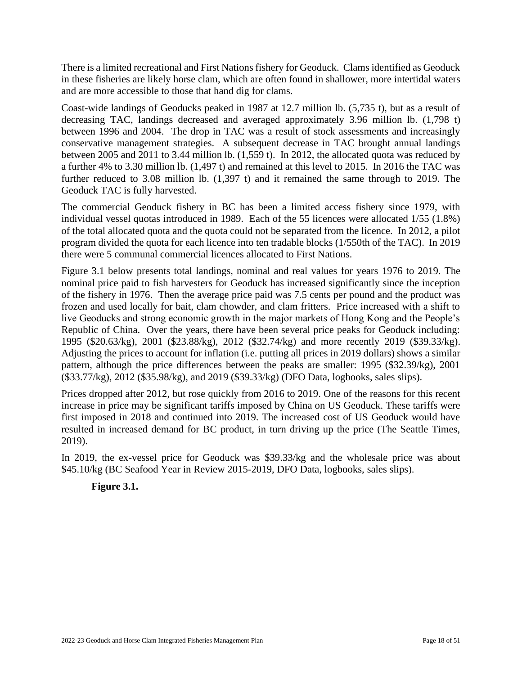There is a limited recreational and First Nations fishery for Geoduck. Clams identified as Geoduck in these fisheries are likely horse clam, which are often found in shallower, more intertidal waters and are more accessible to those that hand dig for clams.

Coast-wide landings of Geoducks peaked in 1987 at 12.7 million lb. (5,735 t), but as a result of decreasing TAC, landings decreased and averaged approximately 3.96 million lb. (1,798 t) between 1996 and 2004. The drop in TAC was a result of stock assessments and increasingly conservative management strategies. A subsequent decrease in TAC brought annual landings between 2005 and 2011 to 3.44 million lb. (1,559 t). In 2012, the allocated quota was reduced by a further 4% to 3.30 million lb. (1,497 t) and remained at this level to 2015. In 2016 the TAC was further reduced to 3.08 million lb. (1,397 t) and it remained the same through to 2019. The Geoduck TAC is fully harvested.

The commercial Geoduck fishery in BC has been a limited access fishery since 1979, with individual vessel quotas introduced in 1989. Each of the 55 licences were allocated 1/55 (1.8%) of the total allocated quota and the quota could not be separated from the licence. In 2012, a pilot program divided the quota for each licence into ten tradable blocks (1/550th of the TAC). In 2019 there were 5 communal commercial licences allocated to First Nations.

Figure 3.1 below presents total landings, nominal and real values for years 1976 to 2019. The nominal price paid to fish harvesters for Geoduck has increased significantly since the inception of the fishery in 1976. Then the average price paid was 7.5 cents per pound and the product was frozen and used locally for bait, clam chowder, and clam fritters. Price increased with a shift to live Geoducks and strong economic growth in the major markets of Hong Kong and the People's Republic of China. Over the years, there have been several price peaks for Geoduck including: 1995 (\$20.63/kg), 2001 (\$23.88/kg), 2012 (\$32.74/kg) and more recently 2019 (\$39.33/kg). Adjusting the prices to account for inflation (i.e. putting all prices in 2019 dollars) shows a similar pattern, although the price differences between the peaks are smaller: 1995 (\$32.39/kg), 2001 (\$33.77/kg), 2012 (\$35.98/kg), and 2019 (\$39.33/kg) (DFO Data, logbooks, sales slips).

Prices dropped after 2012, but rose quickly from 2016 to 2019. One of the reasons for this recent increase in price may be significant tariffs imposed by China on US Geoduck. These tariffs were first imposed in 2018 and continued into 2019. The increased cost of US Geoduck would have resulted in increased demand for BC product, in turn driving up the price (The Seattle Times, 2019).

In 2019, the ex-vessel price for Geoduck was \$39.33/kg and the wholesale price was about \$45.10/kg (BC Seafood Year in Review 2015-2019, DFO Data, logbooks, sales slips).

## **Figure 3.1.**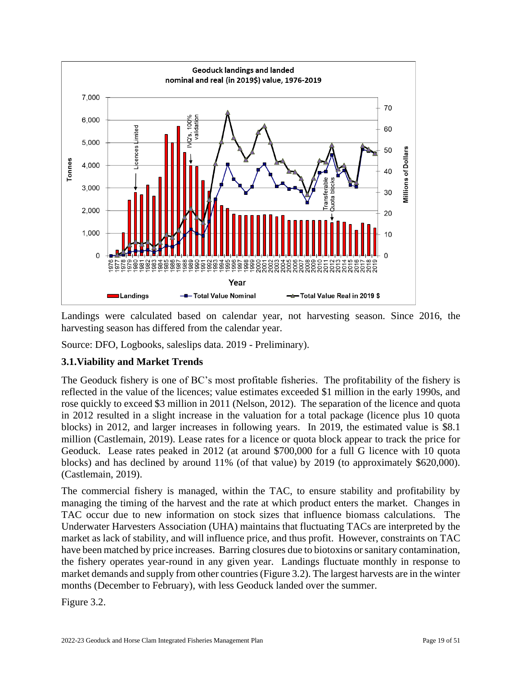

Landings were calculated based on calendar year, not harvesting season. Since 2016, the harvesting season has differed from the calendar year.

Source: DFO, Logbooks, saleslips data. 2019 - Preliminary).

## <span id="page-18-0"></span>**3.1.Viability and Market Trends**

The Geoduck fishery is one of BC's most profitable fisheries. The profitability of the fishery is reflected in the value of the licences; value estimates exceeded \$1 million in the early 1990s, and rose quickly to exceed \$3 million in 2011 (Nelson, 2012). The separation of the licence and quota in 2012 resulted in a slight increase in the valuation for a total package (licence plus 10 quota blocks) in 2012, and larger increases in following years. In 2019, the estimated value is \$8.1 million (Castlemain, 2019). Lease rates for a licence or quota block appear to track the price for Geoduck. Lease rates peaked in 2012 (at around \$700,000 for a full G licence with 10 quota blocks) and has declined by around 11% (of that value) by 2019 (to approximately \$620,000). (Castlemain, 2019).

The commercial fishery is managed, within the TAC, to ensure stability and profitability by managing the timing of the harvest and the rate at which product enters the market. Changes in TAC occur due to new information on stock sizes that influence biomass calculations. The Underwater Harvesters Association (UHA) maintains that fluctuating TACs are interpreted by the market as lack of stability, and will influence price, and thus profit. However, constraints on TAC have been matched by price increases. Barring closures due to biotoxins or sanitary contamination, the fishery operates year-round in any given year. Landings fluctuate monthly in response to market demands and supply from other countries (Figure 3.2). The largest harvests are in the winter months (December to February), with less Geoduck landed over the summer.

Figure 3.2.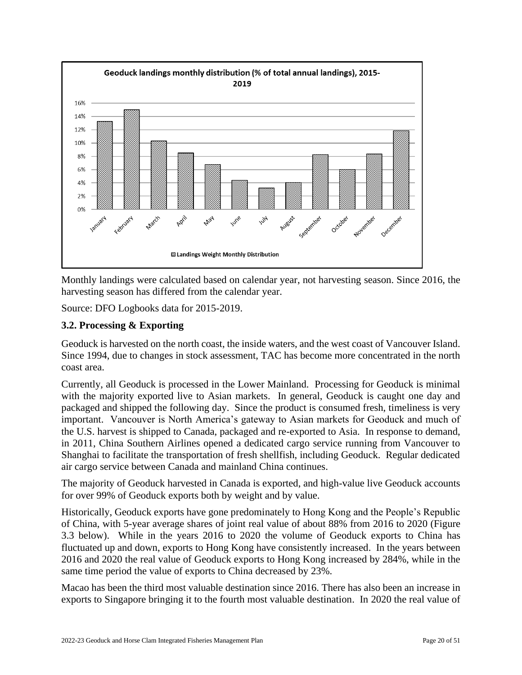

Monthly landings were calculated based on calendar year, not harvesting season. Since 2016, the harvesting season has differed from the calendar year.

Source: DFO Logbooks data for 2015-2019.

## <span id="page-19-0"></span>**3.2. Processing & Exporting**

Geoduck is harvested on the north coast, the inside waters, and the west coast of Vancouver Island. Since 1994, due to changes in stock assessment, TAC has become more concentrated in the north coast area.

Currently, all Geoduck is processed in the Lower Mainland. Processing for Geoduck is minimal with the majority exported live to Asian markets. In general, Geoduck is caught one day and packaged and shipped the following day. Since the product is consumed fresh, timeliness is very important. Vancouver is North America's gateway to Asian markets for Geoduck and much of the U.S. harvest is shipped to Canada, packaged and re-exported to Asia. In response to demand, in 2011, China Southern Airlines opened a dedicated cargo service running from Vancouver to Shanghai to facilitate the transportation of fresh shellfish, including Geoduck. Regular dedicated air cargo service between Canada and mainland China continues.

The majority of Geoduck harvested in Canada is exported, and high-value live Geoduck accounts for over 99% of Geoduck exports both by weight and by value.

Historically, Geoduck exports have gone predominately to Hong Kong and the People's Republic of China, with 5-year average shares of joint real value of about 88% from 2016 to 2020 (Figure 3.3 below). While in the years 2016 to 2020 the volume of Geoduck exports to China has fluctuated up and down, exports to Hong Kong have consistently increased. In the years between 2016 and 2020 the real value of Geoduck exports to Hong Kong increased by 284%, while in the same time period the value of exports to China decreased by 23%.

Macao has been the third most valuable destination since 2016. There has also been an increase in exports to Singapore bringing it to the fourth most valuable destination. In 2020 the real value of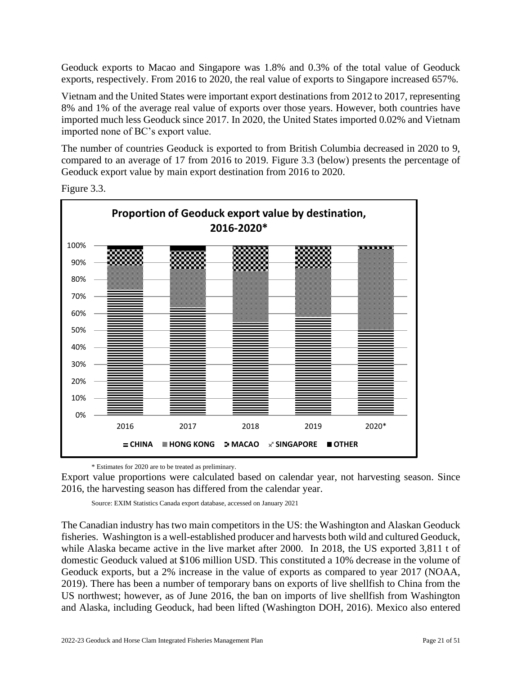Geoduck exports to Macao and Singapore was 1.8% and 0.3% of the total value of Geoduck exports, respectively. From 2016 to 2020, the real value of exports to Singapore increased 657%.

Vietnam and the United States were important export destinations from 2012 to 2017, representing 8% and 1% of the average real value of exports over those years. However, both countries have imported much less Geoduck since 2017. In 2020, the United States imported 0.02% and Vietnam imported none of BC's export value.

The number of countries Geoduck is exported to from British Columbia decreased in 2020 to 9, compared to an average of 17 from 2016 to 2019. Figure 3.3 (below) presents the percentage of Geoduck export value by main export destination from 2016 to 2020.



Figure 3.3.

\* Estimates for 2020 are to be treated as preliminary.

Export value proportions were calculated based on calendar year, not harvesting season. Since 2016, the harvesting season has differed from the calendar year.

Source: EXIM Statistics Canada export database, accessed on January 2021

The Canadian industry has two main competitors in the US: the Washington and Alaskan Geoduck fisheries. Washington is a well-established producer and harvests both wild and cultured Geoduck, while Alaska became active in the live market after 2000. In 2018, the US exported 3,811 t of domestic Geoduck valued at \$106 million USD. This constituted a 10% decrease in the volume of Geoduck exports, but a 2% increase in the value of exports as compared to year 2017 (NOAA, 2019). There has been a number of temporary bans on exports of live shellfish to China from the US northwest; however, as of June 2016, the ban on imports of live shellfish from Washington and Alaska, including Geoduck, had been lifted (Washington DOH, 2016). Mexico also entered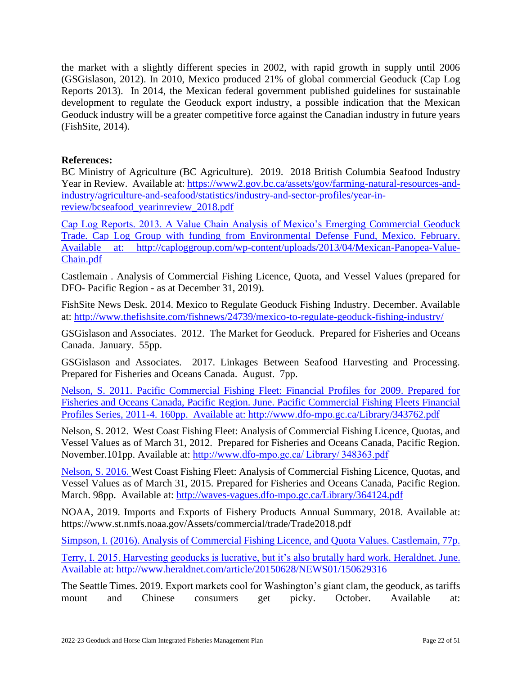the market with a slightly different species in 2002, with rapid growth in supply until 2006 (GSGislason, 2012). In 2010, Mexico produced 21% of global commercial Geoduck (Cap Log Reports 2013). In 2014, the Mexican federal government published guidelines for sustainable development to regulate the Geoduck export industry, a possible indication that the Mexican Geoduck industry will be a greater competitive force against the Canadian industry in future years (FishSite, 2014).

#### **References:**

BC Ministry of Agriculture (BC Agriculture). 2019. 2018 British Columbia Seafood Industry Year in Review. Available at: [https://www2.gov.bc.ca/assets/gov/farming-natural-resources-and](https://www2.gov.bc.ca/assets/gov/farming-natural-resources-and-industry/agriculture-and-seafood/statistics/industry-and-sector-profiles/year-in-review/bcseafood_yearinreview_2018.pdf)[industry/agriculture-and-seafood/statistics/industry-and-sector-profiles/year-in](https://www2.gov.bc.ca/assets/gov/farming-natural-resources-and-industry/agriculture-and-seafood/statistics/industry-and-sector-profiles/year-in-review/bcseafood_yearinreview_2018.pdf)[review/bcseafood\\_yearinreview\\_2018.pdf](https://www2.gov.bc.ca/assets/gov/farming-natural-resources-and-industry/agriculture-and-seafood/statistics/industry-and-sector-profiles/year-in-review/bcseafood_yearinreview_2018.pdf)

Cap Log Reports. 2013. A Value Chain Analysis of Mexico's Emerging Commercial Geoduck Trade. Cap Log Group with funding from Environmental Defense Fund, Mexico. February. Available at: http://caploggroup.com/wp-content/uploads/2013/04/Mexican-Panopea-Value-Chain.pdf

Castlemain . Analysis of Commercial Fishing Licence, Quota, and Vessel Values (prepared for DFO- Pacific Region - as at December 31, 2019).

FishSite News Desk. 2014. Mexico to Regulate Geoduck Fishing Industry. December. Available at:<http://www.thefishsite.com/fishnews/24739/mexico-to-regulate-geoduck-fishing-industry/>

GSGislason and Associates. 2012. The Market for Geoduck. Prepared for Fisheries and Oceans Canada. January. 55pp.

GSGislason and Associates. 2017. Linkages Between Seafood Harvesting and Processing. Prepared for Fisheries and Oceans Canada. August. 7pp.

Nelson, S. 2011. Pacific Commercial Fishing Fleet: Financial Profiles for 2009. Prepared for Fisheries and Oceans Canada, Pacific Region. June. Pacific Commercial Fishing Fleets Financial Profiles Series, 2011-4. 160pp. Available at: http://www.dfo-mpo.gc.ca/Library/343762.pdf

Nelson, S. 2012. West Coast Fishing Fleet: Analysis of Commercial Fishing Licence, Quotas, and Vessel Values as of March 31, 2012. Prepared for Fisheries and Oceans Canada, Pacific Region. November.101pp. Available at: [http://www.dfo-mpo.gc.ca/ Library/ 348363.pdf](http://www.dfo-mpo.gc.ca/Library/348363.pdf)

Nelson, S. 2016. West Coast Fishing Fleet: Analysis of Commercial Fishing Licence, Quotas, and Vessel Values as of March 31, 2015. Prepared for Fisheries and Oceans Canada, Pacific Region. March. 98pp. Available at:<http://waves-vagues.dfo-mpo.gc.ca/Library/364124.pdf>

NOAA, 2019. Imports and Exports of Fishery Products Annual Summary, 2018. Available at: https://www.st.nmfs.noaa.gov/Assets/commercial/trade/Trade2018.pdf

Simpson, I. (2016). Analysis of Commercial Fishing Licence, and Quota Values. Castlemain, 77p.

Terry, I. 2015. Harvesting geoducks is lucrative, but it's also brutally hard work. Heraldnet. June. Available at:<http://www.heraldnet.com/article/20150628/NEWS01/150629316>

The Seattle Times. 2019. Export markets cool for Washington's giant clam, the geoduck, as tariffs mount and Chinese consumers get picky. October. Available at: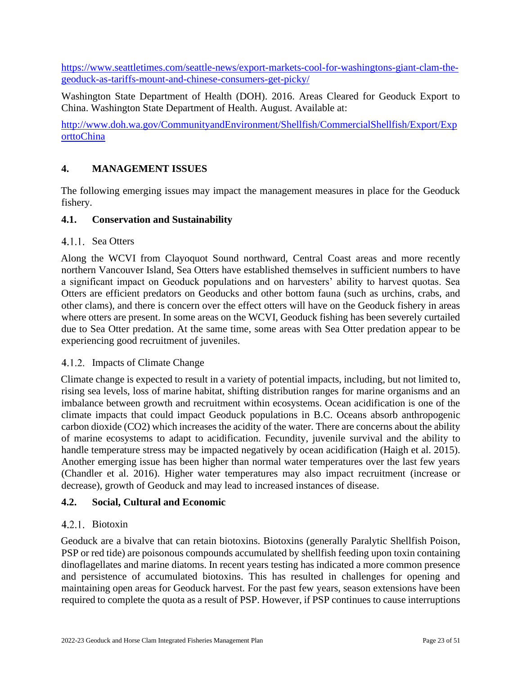[https://www.seattletimes.com/seattle-news/export-markets-cool-for-washingtons-giant-clam-the](https://www.seattletimes.com/seattle-news/export-markets-cool-for-washingtons-giant-clam-the-geoduck-as-tariffs-mount-and-chinese-consumers-get-picky/)[geoduck-as-tariffs-mount-and-chinese-consumers-get-picky/](https://www.seattletimes.com/seattle-news/export-markets-cool-for-washingtons-giant-clam-the-geoduck-as-tariffs-mount-and-chinese-consumers-get-picky/)

Washington State Department of Health (DOH). 2016. Areas Cleared for Geoduck Export to China. Washington State Department of Health. August. Available at:

[http://www.doh.wa.gov/CommunityandEnvironment/Shellfish/CommercialShellfish/Export/Exp](http://www.doh.wa.gov/CommunityandEnvironment/Shellfish/CommercialShellfish/Export/ExporttoChina) [orttoChina](http://www.doh.wa.gov/CommunityandEnvironment/Shellfish/CommercialShellfish/Export/ExporttoChina)

## <span id="page-22-0"></span>**4. MANAGEMENT ISSUES**

The following emerging issues may impact the management measures in place for the Geoduck fishery.

### <span id="page-22-1"></span>**4.1. Conservation and Sustainability**

### 4.1.1. Sea Otters

Along the WCVI from Clayoquot Sound northward, Central Coast areas and more recently northern Vancouver Island, Sea Otters have established themselves in sufficient numbers to have a significant impact on Geoduck populations and on harvesters' ability to harvest quotas. Sea Otters are efficient predators on Geoducks and other bottom fauna (such as urchins, crabs, and other clams), and there is concern over the effect otters will have on the Geoduck fishery in areas where otters are present. In some areas on the WCVI, Geoduck fishing has been severely curtailed due to Sea Otter predation. At the same time, some areas with Sea Otter predation appear to be experiencing good recruitment of juveniles.

#### 4.1.2. Impacts of Climate Change

Climate change is expected to result in a variety of potential impacts, including, but not limited to, rising sea levels, loss of marine habitat, shifting distribution ranges for marine organisms and an imbalance between growth and recruitment within ecosystems. Ocean acidification is one of the climate impacts that could impact Geoduck populations in B.C. Oceans absorb anthropogenic carbon dioxide (CO2) which increases the acidity of the water. There are concerns about the ability of marine ecosystems to adapt to acidification. Fecundity, juvenile survival and the ability to handle temperature stress may be impacted negatively by ocean acidification (Haigh et al. 2015). Another emerging issue has been higher than normal water temperatures over the last few years (Chandler et al. 2016). Higher water temperatures may also impact recruitment (increase or decrease), growth of Geoduck and may lead to increased instances of disease.

## <span id="page-22-2"></span>**4.2. Social, Cultural and Economic**

#### 4.2.1. Biotoxin

Geoduck are a bivalve that can retain biotoxins. Biotoxins (generally Paralytic Shellfish Poison, PSP or red tide) are poisonous compounds accumulated by shellfish feeding upon toxin containing dinoflagellates and marine diatoms. In recent years testing has indicated a more common presence and persistence of accumulated biotoxins. This has resulted in challenges for opening and maintaining open areas for Geoduck harvest. For the past few years, season extensions have been required to complete the quota as a result of PSP. However, if PSP continues to cause interruptions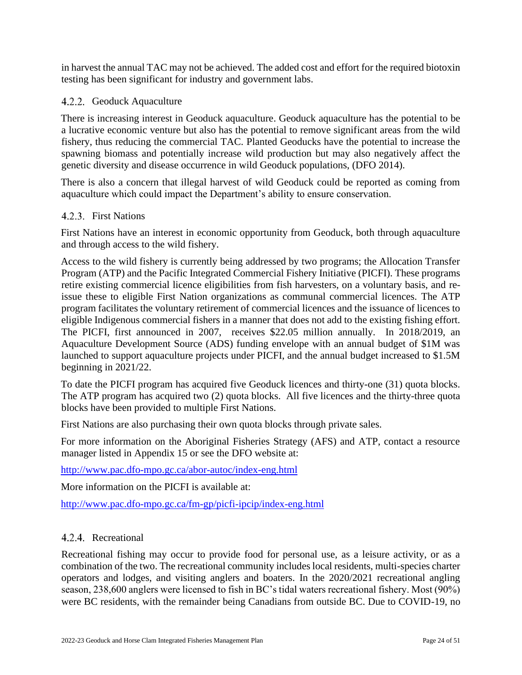in harvest the annual TAC may not be achieved. The added cost and effort for the required biotoxin testing has been significant for industry and government labs.

## 4.2.2. Geoduck Aquaculture

There is increasing interest in Geoduck aquaculture. Geoduck aquaculture has the potential to be a lucrative economic venture but also has the potential to remove significant areas from the wild fishery, thus reducing the commercial TAC. Planted Geoducks have the potential to increase the spawning biomass and potentially increase wild production but may also negatively affect the genetic diversity and disease occurrence in wild Geoduck populations, (DFO 2014).

There is also a concern that illegal harvest of wild Geoduck could be reported as coming from aquaculture which could impact the Department's ability to ensure conservation.

#### 4.2.3. First Nations

First Nations have an interest in economic opportunity from Geoduck, both through aquaculture and through access to the wild fishery.

Access to the wild fishery is currently being addressed by two programs; the Allocation Transfer Program (ATP) and the Pacific Integrated Commercial Fishery Initiative (PICFI). These programs retire existing commercial licence eligibilities from fish harvesters, on a voluntary basis, and reissue these to eligible First Nation organizations as communal commercial licences. The ATP program facilitates the voluntary retirement of commercial licences and the issuance of licences to eligible Indigenous commercial fishers in a manner that does not add to the existing fishing effort. The PICFI, first announced in 2007, receives \$22.05 million annually. In 2018/2019, an Aquaculture Development Source (ADS) funding envelope with an annual budget of \$1M was launched to support aquaculture projects under PICFI, and the annual budget increased to \$1.5M beginning in 2021/22.

To date the PICFI program has acquired five Geoduck licences and thirty-one (31) quota blocks. The ATP program has acquired two (2) quota blocks. All five licences and the thirty-three quota blocks have been provided to multiple First Nations.

First Nations are also purchasing their own quota blocks through private sales.

For more information on the Aboriginal Fisheries Strategy (AFS) and ATP, contact a resource manager listed in Appendix 15 or see the DFO website at:

<http://www.pac.dfo-mpo.gc.ca/abor-autoc/index-eng.html>

More information on the PICFI is available at:

<http://www.pac.dfo-mpo.gc.ca/fm-gp/picfi-ipcip/index-eng.html>

#### <span id="page-23-0"></span>4.2.4. Recreational

Recreational fishing may occur to provide food for personal use, as a leisure activity, or as a combination of the two. The recreational community includes local residents, multi-species charter operators and lodges, and visiting anglers and boaters. In the 2020/2021 recreational angling season, 238,600 anglers were licensed to fish in BC's tidal waters recreational fishery. Most (90%) were BC residents, with the remainder being Canadians from outside BC. Due to COVID-19, no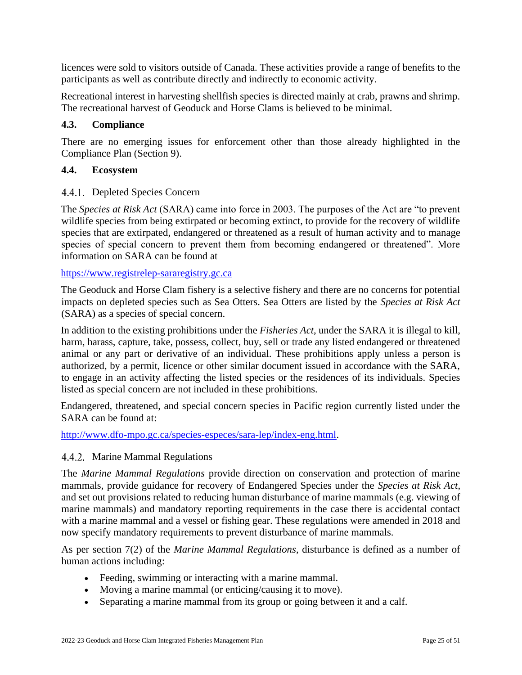licences were sold to visitors outside of Canada. These activities provide a range of benefits to the participants as well as contribute directly and indirectly to economic activity.

Recreational interest in harvesting shellfish species is directed mainly at crab, prawns and shrimp. The recreational harvest of Geoduck and Horse Clams is believed to be minimal.

#### **4.3. Compliance**

There are no emerging issues for enforcement other than those already highlighted in the Compliance Plan (Section 9).

#### <span id="page-24-0"></span>**4.4. Ecosystem**

#### 4.4.1. Depleted Species Concern

The *Species at Risk Act* (SARA) came into force in 2003. The purposes of the Act are "to prevent wildlife species from being extirpated or becoming extinct, to provide for the recovery of wildlife species that are extirpated, endangered or threatened as a result of human activity and to manage species of special concern to prevent them from becoming endangered or threatened". More information on SARA can be found at

[https://www.registrelep-sararegistry.gc.ca](https://www.registrelep-sararegistry.gc.ca/)

The Geoduck and Horse Clam fishery is a selective fishery and there are no concerns for potential impacts on depleted species such as Sea Otters. Sea Otters are listed by the *Species at Risk Act* (SARA) as a species of special concern.

In addition to the existing prohibitions under the *Fisheries Act*, under the SARA it is illegal to kill, harm, harass, capture, take, possess, collect, buy, sell or trade any listed endangered or threatened animal or any part or derivative of an individual. These prohibitions apply unless a person is authorized, by a permit, licence or other similar document issued in accordance with the SARA, to engage in an activity affecting the listed species or the residences of its individuals. Species listed as special concern are not included in these prohibitions.

Endangered, threatened, and special concern species in Pacific region currently listed under the SARA can be found at:

[http://www.dfo-mpo.gc.ca/species-especes/sara-lep/index-eng.html.](http://www.dfo-mpo.gc.ca/species-especes/sara-lep/index-eng.html)

#### 4.4.2. Marine Mammal Regulations

The *Marine Mammal Regulations* provide direction on conservation and protection of marine mammals, provide guidance for recovery of Endangered Species under the *Species at Risk Act*, and set out provisions related to reducing human disturbance of marine mammals (e.g. viewing of marine mammals) and mandatory reporting requirements in the case there is accidental contact with a marine mammal and a vessel or fishing gear. These regulations were amended in 2018 and now specify mandatory requirements to prevent disturbance of marine mammals.

As per section 7(2) of the *Marine Mammal Regulations*, disturbance is defined as a number of human actions including:

- Feeding, swimming or interacting with a marine mammal.
- Moving a marine mammal (or enticing/causing it to move).
- Separating a marine mammal from its group or going between it and a calf.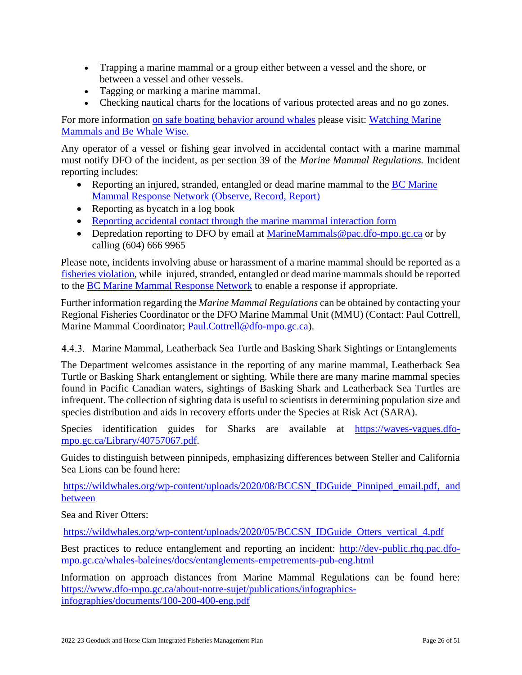- Trapping a marine mammal or a group either between a vessel and the shore, or between a vessel and other vessels.
- Tagging or marking a marine mammal.
- Checking nautical charts for the locations of various protected areas and no go zones.

For more information on safe boating behavior around whales please visit: Watching Marine [Mammals](https://www.dfo-mpo.gc.ca/species-especes/mammals-mammiferes/watching-observation/index-eng.html) and [Be Whale Wise.](file:///C:/Users/harberl/AppData/Local/Microsoft/Windows/Temporary%20Internet%20Files/Content.Outlook/KWLSBLRU/bewhalewise.org)

Any operator of a vessel or fishing gear involved in accidental contact with a marine mammal must notify DFO of the incident, as per section 39 of the *Marine Mammal Regulations.* Incident reporting includes:

- Reporting an injured, stranded, entangled or dead marine mammal to the BC Marine [Mammal Response Network \(Observe, Record, Report\)](http://dfo-mpo.gc.ca/species-especes/mammals-mammiferes/report-rapport/page01-eng.html)
- Reporting as bycatch in a log book
- [Reporting accidental contact through the marine mammal interaction form](http://dfo-mpo.gc.ca/species-especes/mammals-mammiferes/report-rapport/page01-eng.htmlhttp:/dfo-mpo.gc.ca/species-especes/mammals-mammiferes/report-rapport/page01-eng.html)
- Depredation reporting to DFO by email at [MarineMammals@pac.dfo-mpo.gc.ca](mailto:MarineMammals@pac.dfo-mpo.gc.ca) or by calling (604) 666 9965

Please note, incidents involving abuse or harassment of a marine mammal should be reported as a [fisheries violation,](https://www.dfo-mpo.gc.ca/contact/report-signaler-eng.htm) while injured, stranded, entangled or dead marine mammals should be reported to the [BC Marine Mammal Response Network](http://dfo-mpo.gc.ca/species-especes/mammals-mammiferes/report-rapport/page01-eng.html) to enable a response if appropriate.

Further information regarding the *Marine Mammal Regulations* can be obtained by contacting your Regional Fisheries Coordinator or the DFO Marine Mammal Unit (MMU) (Contact: Paul Cottrell, Marine Mammal Coordinator; [Paul.Cottrell@dfo-mpo.gc.ca\)](mailto:Paul.Cottrell@dfo-mpo.gc.ca).

Marine Mammal, Leatherback Sea Turtle and Basking Shark Sightings or Entanglements

The Department welcomes assistance in the reporting of any marine mammal, Leatherback Sea Turtle or Basking Shark entanglement or sighting. While there are many marine mammal species found in Pacific Canadian waters, sightings of Basking Shark and Leatherback Sea Turtles are infrequent. The collection of sighting data is useful to scientists in determining population size and species distribution and aids in recovery efforts under the Species at Risk Act (SARA).

Species identification guides for Sharks are available at [https://waves-vagues.dfo](https://waves-vagues.dfo-mpo.gc.ca/Library/40757067.pdf)[mpo.gc.ca/Library/40757067.pdf.](https://waves-vagues.dfo-mpo.gc.ca/Library/40757067.pdf)

Guides to distinguish between pinnipeds, emphasizing differences between Steller and California Sea Lions can be found here:

[https://wildwhales.org/wp-content/uploads/2020/08/BCCSN\\_IDGuide\\_Pinniped\\_email.pdf,](https://wildwhales.org/wp-content/uploads/2020/08/BCCSN_IDGuide_Pinniped_email.pdf) and between

Sea and River Otters:

[https://wildwhales.org/wp-content/uploads/2020/05/BCCSN\\_IDGuide\\_Otters\\_vertical\\_4.pdf](https://wildwhales.org/wp-content/uploads/2020/05/BCCSN_IDGuide_Otters_vertical_4.pdf)

Best practices to reduce entanglement and reporting an incident: [http://dev-public.rhq.pac.dfo](http://dev-public.rhq.pac.dfo-mpo.gc.ca/whales-baleines/docs/entanglements-empetrements-pub-eng.html)[mpo.gc.ca/whales-baleines/docs/entanglements-empetrements-pub-eng.html](http://dev-public.rhq.pac.dfo-mpo.gc.ca/whales-baleines/docs/entanglements-empetrements-pub-eng.html)

Information on approach distances from Marine Mammal Regulations can be found here: [https://www.dfo-mpo.gc.ca/about-notre-sujet/publications/infographics](https://www.dfo-mpo.gc.ca/about-notre-sujet/publications/infographics-infographies/documents/100-200-400-eng.pdf)[infographies/documents/100-200-400-eng.pdf](https://www.dfo-mpo.gc.ca/about-notre-sujet/publications/infographics-infographies/documents/100-200-400-eng.pdf)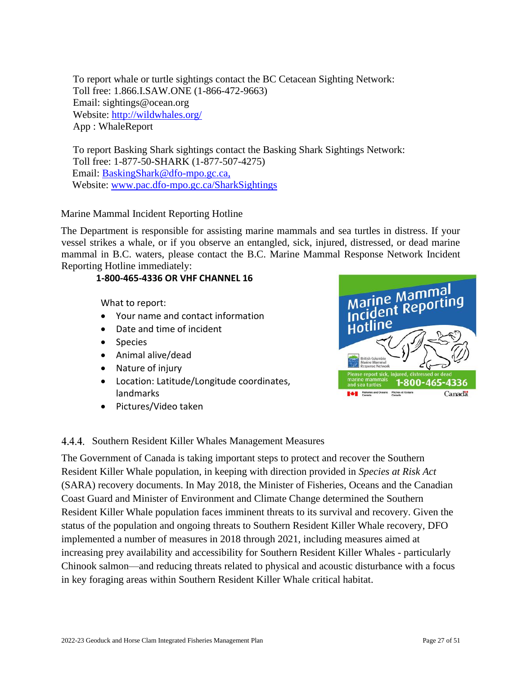To report whale or turtle sightings contact the BC Cetacean Sighting Network: Toll free: 1.866.I.SAW.ONE (1-866-472-9663) Email: sightings@ocean.org Website:<http://wildwhales.org/> App : WhaleReport

To report Basking Shark sightings contact the Basking Shark Sightings Network: Toll free: 1-877-50-SHARK (1-877-507-4275) Email: [BaskingShark@dfo-mpo.gc.ca,](mailto:BaskingShark@dfo-mpo.gc.ca) Website: [www.pac.dfo-mpo.gc.ca/SharkSightings](http://www.pac.dfo-mpo.gc.ca/SharkSightings)

### Marine Mammal Incident Reporting Hotline

The Department is responsible for assisting marine mammals and sea turtles in distress. If your vessel strikes a whale, or if you observe an entangled, sick, injured, distressed, or dead marine mammal in B.C. waters, please contact the B.C. Marine Mammal Response Network Incident Reporting Hotline immediately:

#### **1-800-465-4336 OR VHF CHANNEL 16**

What to report:

- Your name and contact information
- Date and time of incident
- Species
- Animal alive/dead
- Nature of injury
- Location: Latitude/Longitude coordinates, landmarks
- Pictures/Video taken



#### 4.4.4. Southern Resident Killer Whales Management Measures

The Government of Canada is taking important steps to protect and recover the Southern Resident Killer Whale population, in keeping with direction provided in *Species at Risk Act* (SARA) recovery documents. In May 2018, the Minister of Fisheries, Oceans and the Canadian Coast Guard and Minister of Environment and Climate Change determined the Southern Resident Killer Whale population faces imminent threats to its survival and recovery. Given the status of the population and ongoing threats to Southern Resident Killer Whale recovery, DFO implemented a number of measures in 2018 through 2021, including measures aimed at increasing prey availability and accessibility for Southern Resident Killer Whales - particularly Chinook salmon—and reducing threats related to physical and acoustic disturbance with a focus in key foraging areas within Southern Resident Killer Whale critical habitat.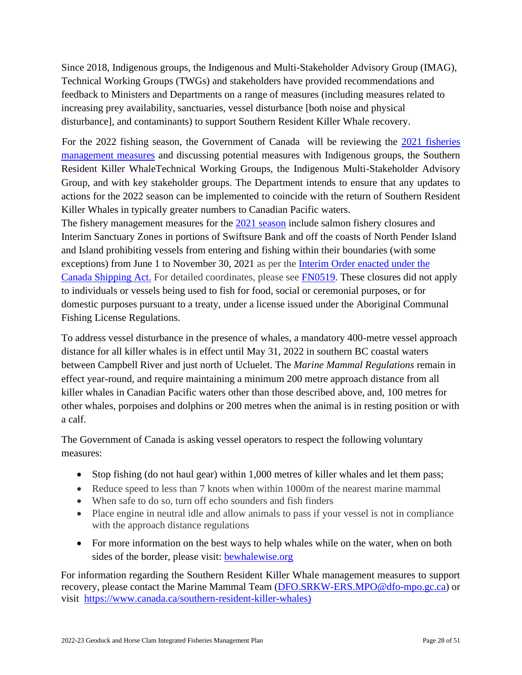Since 2018, Indigenous groups, the Indigenous and Multi-Stakeholder Advisory Group (IMAG), Technical Working Groups (TWGs) and stakeholders have provided recommendations and feedback to Ministers and Departments on a range of measures (including measures related to increasing prey availability, sanctuaries, vessel disturbance [both noise and physical disturbance], and contaminants) to support Southern Resident Killer Whale recovery.

For the 2022 fishing season, the Government of Canada will be reviewing the [2021 fisheries](http://www.pac.dfo-mpo.gc.ca/whales-baleines/srkw-measures-mesures-ers-eng.html)  [management measures](http://www.pac.dfo-mpo.gc.ca/whales-baleines/srkw-measures-mesures-ers-eng.html) and discussing potential measures with Indigenous groups, the Southern Resident Killer WhaleTechnical Working Groups, the Indigenous Multi-Stakeholder Advisory Group, and with key stakeholder groups. The Department intends to ensure that any updates to actions for the 2022 season can be implemented to coincide with the return of Southern Resident Killer Whales in typically greater numbers to Canadian Pacific waters. The fishery management measures for the [2021 season](https://www.pac.dfo-mpo.gc.ca/whales-baleines/srkw-measures-mesures-ers-eng.html) include salmon fishery closures and Interim Sanctuary Zones in portions of Swiftsure Bank and off the coasts of North Pender Island and Island prohibiting vessels from entering and fishing within their boundaries (with some

exceptions) from June 1 to November 30, 2021 as per the [Interim Order enacted under the](https://tc.canada.ca/en/interim-order-protection-killer-whale-orcinus-orca-waters-southern-british-columbia)  [Canada Shipping Act.](https://tc.canada.ca/en/interim-order-protection-killer-whale-orcinus-orca-waters-southern-british-columbia) For detailed coordinates, please see [FN0519.](https://notices.dfo-mpo.gc.ca/fns-sap/index-eng.cfm?pg=view_notice&DOC_ID=245753&ID=all) These closures did not apply to individuals or vessels being used to fish for food, social or ceremonial purposes, or for domestic purposes pursuant to a treaty, under a license issued under the Aboriginal Communal Fishing License Regulations.

To address vessel disturbance in the presence of whales, a mandatory 400-metre vessel approach distance for all killer whales is in effect until May 31, 2022 in southern BC coastal waters between Campbell River and just north of Ucluelet. The *Marine Mammal Regulations* remain in effect year-round, and require maintaining a minimum 200 metre approach distance from all killer whales in Canadian Pacific waters other than those described above, and, 100 metres for other whales, porpoises and dolphins or 200 metres when the animal is in resting position or with a calf.

The Government of Canada is asking vessel operators to respect the following voluntary measures:

- Stop fishing (do not haul gear) within 1,000 metres of killer whales and let them pass;
- Reduce speed to less than 7 knots when within 1000m of the nearest marine mammal
- When safe to do so, turn off echo sounders and fish finders
- Place engine in neutral idle and allow animals to pass if your vessel is not in compliance with the approach distance regulations
- For more information on the best ways to help whales while on the water, when on both sides of the border, please visit: **bewhalewise.org**

For information regarding the Southern Resident Killer Whale management measures to support recovery, please contact the Marine Mammal Team [\(DFO.SRKW-ERS.MPO@dfo-mpo.gc.ca\)](mailto:DFO.SRKW-ERS.MPO@dfo-mpo.gc.ca) or visit [https://www.canada.ca/southern-resident-killer-whales\)](https://www.canada.ca/southern-resident-killer-whales)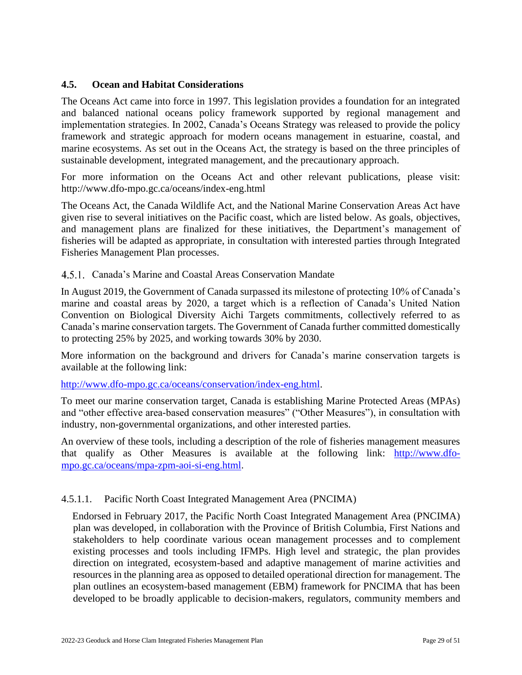### <span id="page-28-0"></span>**4.5. Ocean and Habitat Considerations**

The Oceans Act came into force in 1997. This legislation provides a foundation for an integrated and balanced national oceans policy framework supported by regional management and implementation strategies. In 2002, Canada's Oceans Strategy was released to provide the policy framework and strategic approach for modern oceans management in estuarine, coastal, and marine ecosystems. As set out in the Oceans Act, the strategy is based on the three principles of sustainable development, integrated management, and the precautionary approach.

For more information on the Oceans Act and other relevant publications, please visit: <http://www.dfo-mpo.gc.ca/oceans/index-eng.html>

The Oceans Act, the Canada Wildlife Act, and the National Marine Conservation Areas Act have given rise to several initiatives on the Pacific coast, which are listed below. As goals, objectives, and management plans are finalized for these initiatives, the Department's management of fisheries will be adapted as appropriate, in consultation with interested parties through Integrated Fisheries Management Plan processes.

#### Canada's Marine and Coastal Areas Conservation Mandate

In August 2019, the Government of Canada surpassed its milestone of protecting 10% of Canada's marine and coastal areas by 2020, a target which is a reflection of Canada's United Nation Convention on Biological Diversity Aichi Targets commitments, collectively referred to as Canada's marine conservation targets. The Government of Canada further committed domestically to protecting 25% by 2025, and working towards 30% by 2030.

More information on the background and drivers for Canada's marine conservation targets is available at the following link:

[http://www.dfo-mpo.gc.ca/oceans/conservation/index-eng.html.](http://www.dfo-mpo.gc.ca/oceans/conservation/index-eng.html)

To meet our marine conservation target, Canada is establishing Marine Protected Areas (MPAs) and "other effective area-based conservation measures" ("Other Measures"), in consultation with industry, non-governmental organizations, and other interested parties.

An overview of these tools, including a description of the role of fisheries management measures that qualify as Other Measures is available at the following link: [http://www.dfo](http://www.dfo-mpo.gc.ca/oceans/mpa-zpm-aoi-si-eng.html)[mpo.gc.ca/oceans/mpa-zpm-aoi-si-eng.html](http://www.dfo-mpo.gc.ca/oceans/mpa-zpm-aoi-si-eng.html).

#### 4.5.1.1. Pacific North Coast Integrated Management Area (PNCIMA)

Endorsed in February 2017, the Pacific North Coast Integrated Management Area (PNCIMA) plan was developed, in collaboration with the Province of British Columbia, First Nations and stakeholders to help coordinate various ocean management processes and to complement existing processes and tools including IFMPs. High level and strategic, the plan provides direction on integrated, ecosystem-based and adaptive management of marine activities and resources in the planning area as opposed to detailed operational direction for management. The plan outlines an ecosystem-based management (EBM) framework for PNCIMA that has been developed to be broadly applicable to decision-makers, regulators, community members and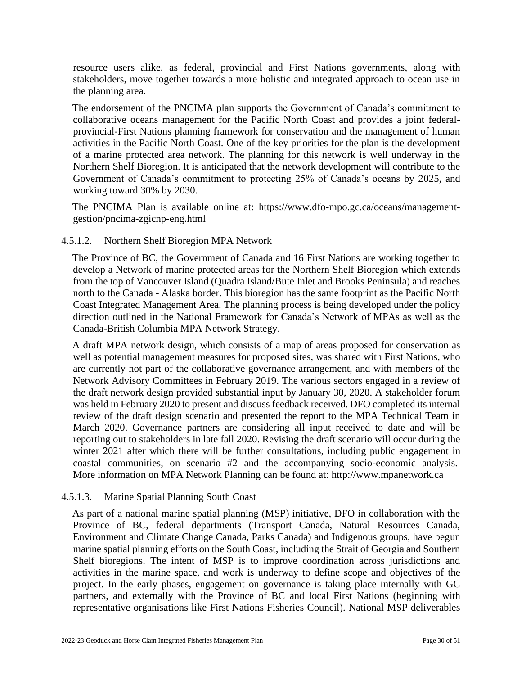resource users alike, as federal, provincial and First Nations governments, along with stakeholders, move together towards a more holistic and integrated approach to ocean use in the planning area.

The endorsement of the PNCIMA plan supports the Government of Canada's commitment to collaborative oceans management for the Pacific North Coast and provides a joint federalprovincial-First Nations planning framework for conservation and the management of human activities in the Pacific North Coast. One of the key priorities for the plan is the development of a marine protected area network. The planning for this network is well underway in the Northern Shelf Bioregion. It is anticipated that the network development will contribute to the Government of Canada's commitment to protecting 25% of Canada's oceans by 2025, and working toward 30% by 2030.

The PNCIMA Plan is available online at: [https://www.dfo-mpo.gc.ca/oceans/management](https://www.dfo-mpo.gc.ca/oceans/management-gestion/pncima-zgicnp-eng.html)[gestion/pncima-zgicnp-eng.html](https://www.dfo-mpo.gc.ca/oceans/management-gestion/pncima-zgicnp-eng.html)

### 4.5.1.2. Northern Shelf Bioregion MPA Network

The Province of BC, the Government of Canada and 16 First Nations are working together to develop a Network of marine protected areas for the Northern Shelf Bioregion which extends from the top of Vancouver Island (Quadra Island/Bute Inlet and Brooks Peninsula) and reaches north to the Canada - Alaska border. This bioregion has the same footprint as the Pacific North Coast Integrated Management Area. The planning process is being developed under the policy direction outlined in the National Framework for Canada's Network of MPAs as well as the Canada-British Columbia MPA Network Strategy.

A draft MPA network design, which consists of a map of areas proposed for conservation as well as potential management measures for proposed sites, was shared with First Nations, who are currently not part of the collaborative governance arrangement, and with members of the Network Advisory Committees in February 2019. The various sectors engaged in a review of the draft network design provided substantial input by January 30, 2020. A stakeholder forum was held in February 2020 to present and discuss feedback received. DFO completed its internal review of the draft design scenario and presented the report to the MPA Technical Team in March 2020. Governance partners are considering all input received to date and will be reporting out to stakeholders in late fall 2020. Revising the draft scenario will occur during the winter 2021 after which there will be further consultations, including public engagement in coastal communities, on scenario #2 and the accompanying socio-economic analysis. More information on MPA Network Planning can be found at: [http://www.mpanetwork.ca](http://www.mpanetwork.ca/)

#### 4.5.1.3. Marine Spatial Planning South Coast

As part of a national marine spatial planning (MSP) initiative, DFO in collaboration with the Province of BC, federal departments (Transport Canada, Natural Resources Canada, Environment and Climate Change Canada, Parks Canada) and Indigenous groups, have begun marine spatial planning efforts on the South Coast, including the Strait of Georgia and Southern Shelf bioregions. The intent of MSP is to improve coordination across jurisdictions and activities in the marine space, and work is underway to define scope and objectives of the project. In the early phases, engagement on governance is taking place internally with GC partners, and externally with the Province of BC and local First Nations (beginning with representative organisations like First Nations Fisheries Council). National MSP deliverables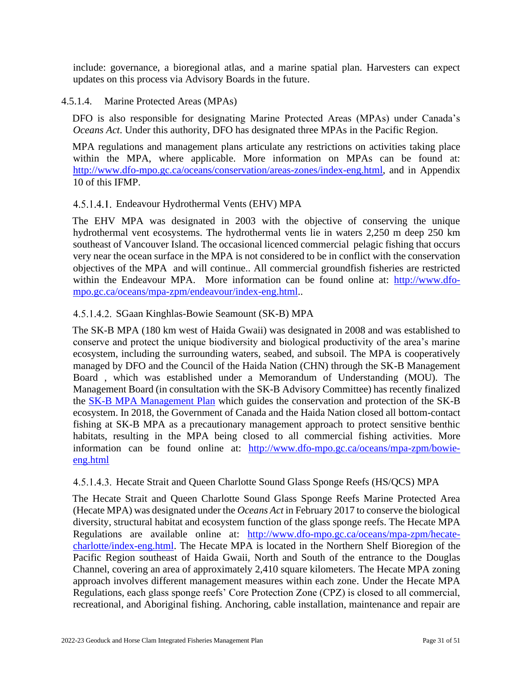include: governance, a bioregional atlas, and a marine spatial plan. Harvesters can expect updates on this process via Advisory Boards in the future.

#### 4.5.1.4. Marine Protected Areas (MPAs)

DFO is also responsible for designating Marine Protected Areas (MPAs) under Canada's *Oceans Act*. Under this authority, DFO has designated three MPAs in the Pacific Region.

MPA regulations and management plans articulate any restrictions on activities taking place within the MPA, where applicable. More information on MPAs can be found at: [http://www.dfo-mpo.gc.ca/oceans/conservation/areas-zones/index-eng.html,](http://www.dfo-mpo.gc.ca/oceans/conservation/areas-zones/index-eng.html) and in Appendix 10 of this IFMP.

### Endeavour Hydrothermal Vents (EHV) MPA

The EHV MPA was designated in 2003 with the objective of conserving the unique hydrothermal vent ecosystems. The hydrothermal vents lie in waters 2,250 m deep 250 km southeast of Vancouver Island. The occasional licenced commercial pelagic fishing that occurs very near the ocean surface in the MPA is not considered to be in conflict with the conservation objectives of the MPA and will continue.. All commercial groundfish fisheries are restricted within the Endeavour MPA. More information can be found online at: [http://www.dfo](http://www.dfo-mpo.gc.ca/oceans/mpa-zpm/endeavour/index-eng.html)[mpo.gc.ca/oceans/mpa-zpm/endeavour/index-eng.html.](http://www.dfo-mpo.gc.ca/oceans/mpa-zpm/endeavour/index-eng.html).

### 4.5.1.4.2. SGaan Kinghlas-Bowie Seamount (SK-B) MPA

The SK-B MPA (180 km west of Haida Gwaii) was designated in 2008 and was established to conserve and protect the unique biodiversity and biological productivity of the area's marine ecosystem, including the surrounding waters, seabed, and subsoil. The MPA is cooperatively managed by DFO and the Council of the Haida Nation (CHN) through the SK-B Management Board , which was established under a Memorandum of Understanding (MOU). The Management Board (in consultation with the SK-B Advisory Committee) has recently finalized the [SK-B MPA Management Plan](http://www.dfo-mpo.gc.ca/oceans/publications/sk-b-managementplan-plangestion/page01-eng.html) which guides the conservation and protection of the SK-B ecosystem. In 2018, the Government of Canada and the Haida Nation closed all bottom-contact fishing at SK-B MPA as a precautionary management approach to protect sensitive benthic habitats, resulting in the MPA being closed to all commercial fishing activities. More information can be found online at: [http://www.dfo-mpo.gc.ca/oceans/mpa-zpm/bowie](http://www.dfo-mpo.gc.ca/oceans/mpa-zpm/bowie-eng.html)[eng.html](http://www.dfo-mpo.gc.ca/oceans/mpa-zpm/bowie-eng.html)

#### Hecate Strait and Queen Charlotte Sound Glass Sponge Reefs (HS/QCS) MPA

The Hecate Strait and Queen Charlotte Sound Glass Sponge Reefs Marine Protected Area (Hecate MPA) was designated under the *Oceans Act* in February 2017 to conserve the biological diversity, structural habitat and ecosystem function of the glass sponge reefs. The Hecate MPA Regulations are available online at: [http://www.dfo-mpo.gc.ca/oceans/mpa-zpm/hecate](http://www.dfo-mpo.gc.ca/oceans/mpa-zpm/hecate-charlotte/index-eng.html)[charlotte/index-eng.html.](http://www.dfo-mpo.gc.ca/oceans/mpa-zpm/hecate-charlotte/index-eng.html) The Hecate MPA is located in the Northern Shelf Bioregion of the Pacific Region southeast of Haida Gwaii, North and South of the entrance to the Douglas Channel, covering an area of approximately 2,410 square kilometers. The Hecate MPA zoning approach involves different management measures within each zone. Under the Hecate MPA Regulations, each glass sponge reefs' Core Protection Zone (CPZ) is closed to all commercial, recreational, and Aboriginal fishing. Anchoring, cable installation, maintenance and repair are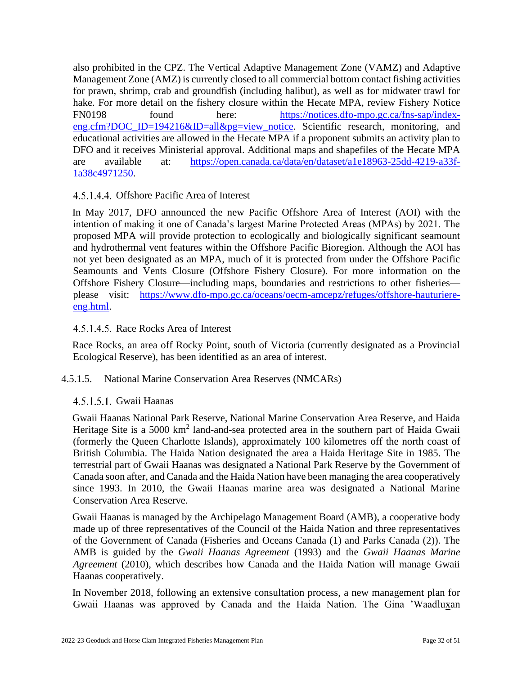also prohibited in the CPZ. The Vertical Adaptive Management Zone (VAMZ) and Adaptive Management Zone (AMZ) is currently closed to all commercial bottom contact fishing activities for prawn, shrimp, crab and groundfish (including halibut), as well as for midwater trawl for hake. For more detail on the fishery closure within the Hecate MPA, review Fishery Notice FN0198 found here: [https://notices.dfo-mpo.gc.ca/fns-sap/index](https://notices.dfo-mpo.gc.ca/fns-sap/index-eng.cfm?DOC_ID=194216&ID=all&pg=view_notice)[eng.cfm?DOC\\_ID=194216&ID=all&pg=view\\_notice.](https://notices.dfo-mpo.gc.ca/fns-sap/index-eng.cfm?DOC_ID=194216&ID=all&pg=view_notice) Scientific research, monitoring, and educational activities are allowed in the Hecate MPA if a proponent submits an activity plan to DFO and it receives Ministerial approval. Additional maps and shapefiles of the Hecate MPA are available at: [https://open.canada.ca/data/en/dataset/a1e18963-25dd-4219-a33f-](https://open.canada.ca/data/en/dataset/a1e18963-25dd-4219-a33f-1a38c4971250)[1a38c4971250.](https://open.canada.ca/data/en/dataset/a1e18963-25dd-4219-a33f-1a38c4971250)

## 4.5.1.4.4. Offshore Pacific Area of Interest

In May 2017, DFO announced the new Pacific Offshore Area of Interest (AOI) with the intention of making it one of Canada's largest Marine Protected Areas (MPAs) by 2021. The proposed MPA will provide protection to ecologically and biologically significant seamount and hydrothermal vent features within the Offshore Pacific Bioregion. Although the AOI has not yet been designated as an MPA, much of it is protected from under the Offshore Pacific Seamounts and Vents Closure (Offshore Fishery Closure). For more information on the Offshore Fishery Closure—including maps, boundaries and restrictions to other fisheries please visit: [https://www.dfo-mpo.gc.ca/oceans/oecm-amcepz/refuges/offshore-hauturiere](https://www.dfo-mpo.gc.ca/oceans/oecm-amcepz/refuges/offshore-hauturiere-eng.html)[eng.html.](https://www.dfo-mpo.gc.ca/oceans/oecm-amcepz/refuges/offshore-hauturiere-eng.html)

#### 4.5.1.4.5. Race Rocks Area of Interest

Race Rocks, an area off Rocky Point, south of Victoria (currently designated as a Provincial Ecological Reserve), has been identified as an area of interest.

#### 4.5.1.5. National Marine Conservation Area Reserves (NMCARs)

#### 4.5.1.5.1. Gwaii Haanas

Gwaii Haanas National Park Reserve, National Marine Conservation Area Reserve, and Haida Heritage Site is a 5000 km<sup>2</sup> land-and-sea protected area in the southern part of Haida Gwaii (formerly the Queen Charlotte Islands), approximately 100 kilometres off the north coast of British Columbia. The Haida Nation designated the area a Haida Heritage Site in 1985. The terrestrial part of Gwaii Haanas was designated a National Park Reserve by the Government of Canada soon after, and Canada and the Haida Nation have been managing the area cooperatively since 1993. In 2010, the Gwaii Haanas marine area was designated a National Marine Conservation Area Reserve.

Gwaii Haanas is managed by the Archipelago Management Board (AMB), a cooperative body made up of three representatives of the Council of the Haida Nation and three representatives of the Government of Canada (Fisheries and Oceans Canada (1) and Parks Canada (2)). The AMB is guided by the *Gwaii Haanas Agreement* (1993) and the *Gwaii Haanas Marine Agreement* (2010), which describes how Canada and the Haida Nation will manage Gwaii Haanas cooperatively.

In November 2018, following an extensive consultation process, a new management plan for Gwaii Haanas was approved by Canada and the Haida Nation. The Gina 'Waadluxan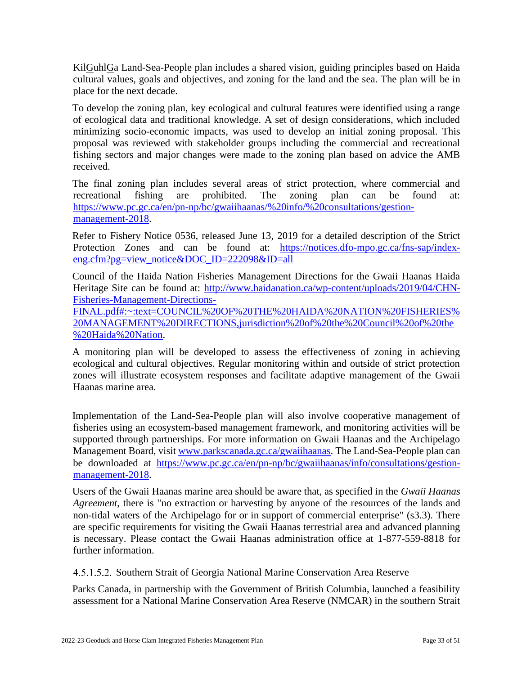KilGuhlGa Land-Sea-People plan includes a shared vision, guiding principles based on Haida cultural values, goals and objectives, and zoning for the land and the sea. The plan will be in place for the next decade.

To develop the zoning plan, key ecological and cultural features were identified using a range of ecological data and traditional knowledge. A set of design considerations, which included minimizing socio-economic impacts, was used to develop an initial zoning proposal. This proposal was reviewed with stakeholder groups including the commercial and recreational fishing sectors and major changes were made to the zoning plan based on advice the AMB received.

The final zoning plan includes several areas of strict protection, where commercial and recreational fishing are prohibited. The zoning plan can be found at: [https://www.pc.gc.ca/en/pn-np/bc/gwaiihaanas/%20info/%20consultations/gestion](https://www.pc.gc.ca/en/pn-np/bc/gwaiihaanas/%20info/%20consultations/gestion-management-2018)[management-2018.](https://www.pc.gc.ca/en/pn-np/bc/gwaiihaanas/%20info/%20consultations/gestion-management-2018)

Refer to Fishery Notice 0536, released June 13, 2019 for a detailed description of the Strict Protection Zones and can be found at: [https://notices.dfo-mpo.gc.ca/fns-sap/index](https://notices.dfo-mpo.gc.ca/fns-sap/index-eng.cfm?pg=view_notice&DOC_ID=222098&ID=all)[eng.cfm?pg=view\\_notice&DOC\\_ID=222098&ID=all](https://notices.dfo-mpo.gc.ca/fns-sap/index-eng.cfm?pg=view_notice&DOC_ID=222098&ID=all)

Council of the Haida Nation Fisheries Management Directions for the Gwaii Haanas Haida Heritage Site can be found at: [http://www.haidanation.ca/wp-content/uploads/2019/04/CHN-](http://www.haidanation.ca/wp-content/uploads/2019/04/CHN-Fisheries-Management-Directions-FINAL.pdf#:~:text=COUNCIL%20OF%20THE%20HAIDA%20NATION%20FISHERIES%20MANAGEMENT%20DIRECTIONS,jurisdiction%20of%20the%20Council%20of%20the%20Haida%20Nation)[Fisheries-Management-Directions-](http://www.haidanation.ca/wp-content/uploads/2019/04/CHN-Fisheries-Management-Directions-FINAL.pdf#:~:text=COUNCIL%20OF%20THE%20HAIDA%20NATION%20FISHERIES%20MANAGEMENT%20DIRECTIONS,jurisdiction%20of%20the%20Council%20of%20the%20Haida%20Nation)

[FINAL.pdf#:~:text=COUNCIL%20OF%20THE%20HAIDA%20NATION%20FISHERIES%](http://www.haidanation.ca/wp-content/uploads/2019/04/CHN-Fisheries-Management-Directions-FINAL.pdf#:~:text=COUNCIL%20OF%20THE%20HAIDA%20NATION%20FISHERIES%20MANAGEMENT%20DIRECTIONS,jurisdiction%20of%20the%20Council%20of%20the%20Haida%20Nation) [20MANAGEMENT%20DIRECTIONS,jurisdiction%20of%20the%20Council%20of%20the](http://www.haidanation.ca/wp-content/uploads/2019/04/CHN-Fisheries-Management-Directions-FINAL.pdf#:~:text=COUNCIL%20OF%20THE%20HAIDA%20NATION%20FISHERIES%20MANAGEMENT%20DIRECTIONS,jurisdiction%20of%20the%20Council%20of%20the%20Haida%20Nation) [%20Haida%20Nation.](http://www.haidanation.ca/wp-content/uploads/2019/04/CHN-Fisheries-Management-Directions-FINAL.pdf#:~:text=COUNCIL%20OF%20THE%20HAIDA%20NATION%20FISHERIES%20MANAGEMENT%20DIRECTIONS,jurisdiction%20of%20the%20Council%20of%20the%20Haida%20Nation)

A monitoring plan will be developed to assess the effectiveness of zoning in achieving ecological and cultural objectives. Regular monitoring within and outside of strict protection zones will illustrate ecosystem responses and facilitate adaptive management of the Gwaii Haanas marine area.

Implementation of the Land-Sea-People plan will also involve cooperative management of fisheries using an ecosystem-based management framework, and monitoring activities will be supported through partnerships. For more information on Gwaii Haanas and the Archipelago Management Board, visit [www.parkscanada.gc.ca/gwaiihaanas.](http://www.parkscanada.gc.ca/gwaiihaanas) The Land-Sea-People plan can be downloaded at [https://www.pc.gc.ca/en/pn-np/bc/gwaiihaanas/info/consultations/gestion](https://www.pc.gc.ca/en/pn-np/bc/gwaiihaanas/info/consultations/gestion-management-2018)[management-2018.](https://www.pc.gc.ca/en/pn-np/bc/gwaiihaanas/info/consultations/gestion-management-2018)

Users of the Gwaii Haanas marine area should be aware that, as specified in the *Gwaii Haanas Agreement*, there is "no extraction or harvesting by anyone of the resources of the lands and non-tidal waters of the Archipelago for or in support of commercial enterprise" (s3.3). There are specific requirements for visiting the Gwaii Haanas terrestrial area and advanced planning is necessary. Please contact the Gwaii Haanas administration office at 1-877-559-8818 for further information.

4.5.1.5.2. Southern Strait of Georgia National Marine Conservation Area Reserve

Parks Canada, in partnership with the Government of British Columbia, launched a feasibility assessment for a National Marine Conservation Area Reserve (NMCAR) in the southern Strait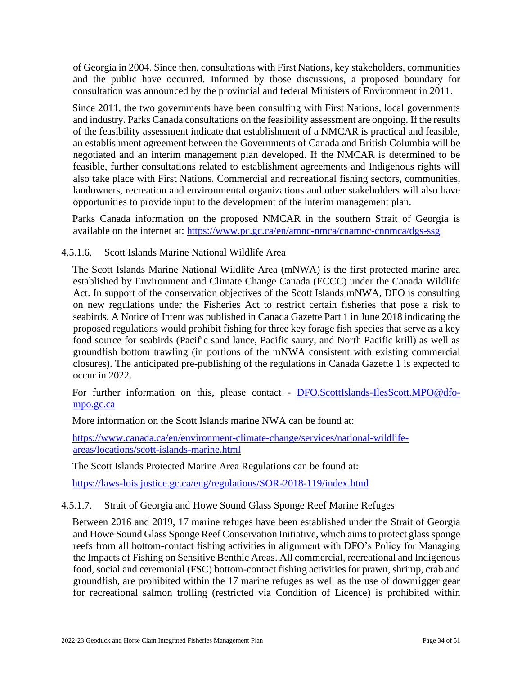of Georgia in 2004. Since then, consultations with First Nations, key stakeholders, communities and the public have occurred. Informed by those discussions, a proposed boundary for consultation was announced by the provincial and federal Ministers of Environment in 2011.

Since 2011, the two governments have been consulting with First Nations, local governments and industry. Parks Canada consultations on the feasibility assessment are ongoing. If the results of the feasibility assessment indicate that establishment of a NMCAR is practical and feasible, an establishment agreement between the Governments of Canada and British Columbia will be negotiated and an interim management plan developed. If the NMCAR is determined to be feasible, further consultations related to establishment agreements and Indigenous rights will also take place with First Nations. Commercial and recreational fishing sectors, communities, landowners, recreation and environmental organizations and other stakeholders will also have opportunities to provide input to the development of the interim management plan.

Parks Canada information on the proposed NMCAR in the southern Strait of Georgia is available on the internet at:<https://www.pc.gc.ca/en/amnc-nmca/cnamnc-cnnmca/dgs-ssg>

## 4.5.1.6. Scott Islands Marine National Wildlife Area

The Scott Islands Marine National Wildlife Area (mNWA) is the first protected marine area established by Environment and Climate Change Canada (ECCC) under the Canada Wildlife Act. In support of the conservation objectives of the Scott Islands mNWA, DFO is consulting on new regulations under the Fisheries Act to restrict certain fisheries that pose a risk to seabirds. A Notice of Intent was published in Canada Gazette Part 1 in June 2018 indicating the proposed regulations would prohibit fishing for three key forage fish species that serve as a key food source for seabirds (Pacific sand lance, Pacific saury, and North Pacific krill) as well as groundfish bottom trawling (in portions of the mNWA consistent with existing commercial closures). The anticipated pre-publishing of the regulations in Canada Gazette 1 is expected to occur in 2022.

For further information on this, please contact - [DFO.ScottIslands-IlesScott.MPO@dfo](mailto:DFO.ScottIslands-IlesScott.MPO@dfo-mpo.gc.ca)[mpo.gc.ca](mailto:DFO.ScottIslands-IlesScott.MPO@dfo-mpo.gc.ca)

More information on the Scott Islands marine NWA can be found at:

[https://www.canada.ca/en/environment-climate-change/services/national-wildlife](https://www.canada.ca/en/environment-climate-change/services/national-wildlife-areas/locations/scott-islands-marine.html)[areas/locations/scott-islands-marine.html](https://www.canada.ca/en/environment-climate-change/services/national-wildlife-areas/locations/scott-islands-marine.html)

The Scott Islands Protected Marine Area Regulations can be found at:

<https://laws-lois.justice.gc.ca/eng/regulations/SOR-2018-119/index.html>

#### 4.5.1.7. Strait of Georgia and Howe Sound Glass Sponge Reef Marine Refuges

Between 2016 and 2019, 17 marine refuges have been established under the Strait of Georgia and Howe Sound Glass Sponge Reef Conservation Initiative, which aims to protect glass sponge reefs from all bottom-contact fishing activities in alignment with DFO's Policy for Managing the Impacts of Fishing on Sensitive Benthic Areas. All commercial, recreational and Indigenous food, social and ceremonial (FSC) bottom-contact fishing activities for prawn, shrimp, crab and groundfish, are prohibited within the 17 marine refuges as well as the use of downrigger gear for recreational salmon trolling (restricted via Condition of Licence) is prohibited within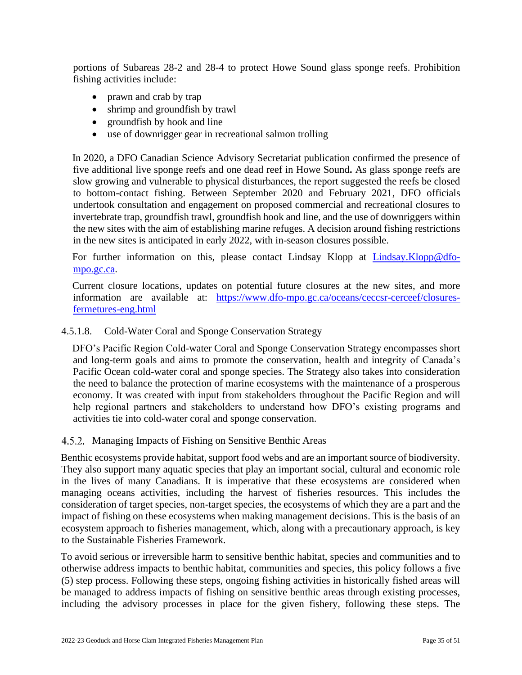portions of Subareas 28-2 and 28-4 to protect Howe Sound glass sponge reefs. Prohibition fishing activities include:

- prawn and crab by trap
- shrimp and groundfish by trawl
- groundfish by hook and line
- use of downrigger gear in recreational salmon trolling

In 2020, a DFO Canadian Science Advisory Secretariat publication confirmed the presence of five additional live sponge reefs and one dead reef in Howe Sound**.** As glass sponge reefs are slow growing and vulnerable to physical disturbances, the report suggested the reefs be closed to bottom-contact fishing. Between September 2020 and February 2021, DFO officials undertook consultation and engagement on proposed commercial and recreational closures to invertebrate trap, groundfish trawl, groundfish hook and line, and the use of downriggers within the new sites with the aim of establishing marine refuges. A decision around fishing restrictions in the new sites is anticipated in early 2022, with in-season closures possible.

For further information on this, please contact Lindsay Klopp at [Lindsay.Klopp@dfo](mailto:Lindsay.Klopp@dfo-mpo.gc.ca)[mpo.gc.ca.](mailto:Lindsay.Klopp@dfo-mpo.gc.ca)

Current closure locations, updates on potential future closures at the new sites, and more information are available at: [https://www.dfo-mpo.gc.ca/oceans/ceccsr-cerceef/closures](https://www.dfo-mpo.gc.ca/oceans/ceccsr-cerceef/closures-fermetures-eng.html)[fermetures-eng.html](https://www.dfo-mpo.gc.ca/oceans/ceccsr-cerceef/closures-fermetures-eng.html)

### 4.5.1.8. Cold-Water Coral and Sponge Conservation Strategy

DFO's Pacific Region Cold-water Coral and Sponge Conservation Strategy encompasses short and long-term goals and aims to promote the conservation, health and integrity of Canada's Pacific Ocean cold-water coral and sponge species. The Strategy also takes into consideration the need to balance the protection of marine ecosystems with the maintenance of a prosperous economy. It was created with input from stakeholders throughout the Pacific Region and will help regional partners and stakeholders to understand how DFO's existing programs and activities tie into cold-water coral and sponge conservation.

4.5.2. Managing Impacts of Fishing on Sensitive Benthic Areas

Benthic ecosystems provide habitat, support food webs and are an important source of biodiversity. They also support many aquatic species that play an important social, cultural and economic role in the lives of many Canadians. It is imperative that these ecosystems are considered when managing oceans activities, including the harvest of fisheries resources. This includes the consideration of target species, non-target species, the ecosystems of which they are a part and the impact of fishing on these ecosystems when making management decisions. This is the basis of an ecosystem approach to fisheries management, which, along with a precautionary approach, is key to the Sustainable Fisheries Framework.

To avoid serious or irreversible harm to sensitive benthic habitat, species and communities and to otherwise address impacts to benthic habitat, communities and species, this policy follows a five (5) step process. Following these steps, ongoing fishing activities in historically fished areas will be managed to address impacts of fishing on sensitive benthic areas through existing processes, including the advisory processes in place for the given fishery, following these steps. The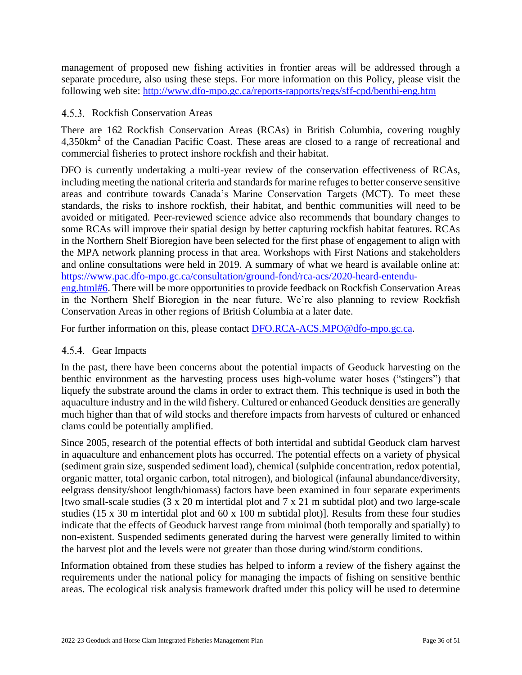management of proposed new fishing activities in frontier areas will be addressed through a separate procedure, also using these steps. For more information on this Policy, please visit the following web site:<http://www.dfo-mpo.gc.ca/reports-rapports/regs/sff-cpd/benthi-eng.htm>

#### 4.5.3. Rockfish Conservation Areas

There are 162 Rockfish Conservation Areas (RCAs) in British Columbia, covering roughly 4,350km<sup>2</sup> of the Canadian Pacific Coast. These areas are closed to a range of recreational and commercial fisheries to protect inshore rockfish and their habitat.

DFO is currently undertaking a multi-year review of the conservation effectiveness of RCAs, including meeting the national criteria and standards for marine refuges to better conserve sensitive areas and contribute towards Canada's Marine Conservation Targets (MCT). To meet these standards, the risks to inshore rockfish, their habitat, and benthic communities will need to be avoided or mitigated. Peer-reviewed science advice also recommends that boundary changes to some RCAs will improve their spatial design by better capturing rockfish habitat features. RCAs in the Northern Shelf Bioregion have been selected for the first phase of engagement to align with the MPA network planning process in that area. Workshops with First Nations and stakeholders and online consultations were held in 2019. A summary of what we heard is available online at: [https://www.pac.dfo-mpo.gc.ca/consultation/ground-fond/rca-acs/2020-heard-entendu-](https://www.pac.dfo-mpo.gc.ca/consultation/ground-fond/rca-acs/2020-heard-entendu-eng.html#6)

[eng.html#6.](https://www.pac.dfo-mpo.gc.ca/consultation/ground-fond/rca-acs/2020-heard-entendu-eng.html#6) There will be more opportunities to provide feedback on Rockfish Conservation Areas in the Northern Shelf Bioregion in the near future. We're also planning to review Rockfish Conservation Areas in other regions of British Columbia at a later date.

For further information on this, please contact [DFO.RCA-ACS.MPO@dfo-mpo.gc.ca.](mailto:DFO.RCA-ACS.MPO@dfo-mpo.gc.ca)

#### 4.5.4. Gear Impacts

In the past, there have been concerns about the potential impacts of Geoduck harvesting on the benthic environment as the harvesting process uses high-volume water hoses ("stingers") that liquefy the substrate around the clams in order to extract them. This technique is used in both the aquaculture industry and in the wild fishery. Cultured or enhanced Geoduck densities are generally much higher than that of wild stocks and therefore impacts from harvests of cultured or enhanced clams could be potentially amplified.

Since 2005, research of the potential effects of both intertidal and subtidal Geoduck clam harvest in aquaculture and enhancement plots has occurred. The potential effects on a variety of physical (sediment grain size, suspended sediment load), chemical (sulphide concentration, redox potential, organic matter, total organic carbon, total nitrogen), and biological (infaunal abundance/diversity, eelgrass density/shoot length/biomass) factors have been examined in four separate experiments [two small-scale studies (3 x 20 m intertidal plot and 7 x 21 m subtidal plot) and two large-scale studies (15 x 30 m intertidal plot and 60 x 100 m subtidal plot)]. Results from these four studies indicate that the effects of Geoduck harvest range from minimal (both temporally and spatially) to non-existent. Suspended sediments generated during the harvest were generally limited to within the harvest plot and the levels were not greater than those during wind/storm conditions.

Information obtained from these studies has helped to inform a review of the fishery against the requirements under the national policy for managing the impacts of fishing on sensitive benthic areas. The ecological risk analysis framework drafted under this policy will be used to determine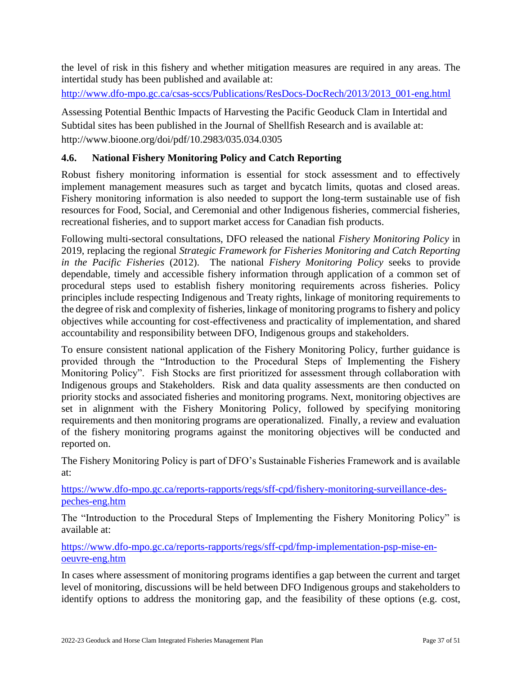the level of risk in this fishery and whether mitigation measures are required in any areas. The intertidal study has been published and available at:

[http://www.dfo-mpo.gc.ca/csas-sccs/Publications/ResDocs-DocRech/2013/2013\\_001-eng.html](http://www.dfo-mpo.gc.ca/csas-sccs/Publications/ResDocs-DocRech/2013/2013_001-eng.html)

Assessing Potential Benthic Impacts of Harvesting the Pacific Geoduck Clam in Intertidal and Subtidal sites has been published in the Journal of Shellfish Research and is available at: http://www.bioone.org/doi/pdf/10.2983/035.034.0305

## **4.6. National Fishery Monitoring Policy and Catch Reporting**

Robust fishery monitoring information is essential for stock assessment and to effectively implement management measures such as target and bycatch limits, quotas and closed areas. Fishery monitoring information is also needed to support the long-term sustainable use of fish resources for Food, Social, and Ceremonial and other Indigenous fisheries, commercial fisheries, recreational fisheries, and to support market access for Canadian fish products.

Following multi-sectoral consultations, DFO released the national *Fishery Monitoring Policy* in 2019, replacing the regional *Strategic Framework for Fisheries Monitoring and Catch Reporting in the Pacific Fisheries* (2012). The national *Fishery Monitoring Policy* seeks to provide dependable, timely and accessible fishery information through application of a common set of procedural steps used to establish fishery monitoring requirements across fisheries. Policy principles include respecting Indigenous and Treaty rights, linkage of monitoring requirements to the degree of risk and complexity of fisheries, linkage of monitoring programs to fishery and policy objectives while accounting for cost-effectiveness and practicality of implementation, and shared accountability and responsibility between DFO, Indigenous groups and stakeholders.

To ensure consistent national application of the Fishery Monitoring Policy, further guidance is provided through the "Introduction to the Procedural Steps of Implementing the Fishery Monitoring Policy". Fish Stocks are first prioritized for assessment through collaboration with Indigenous groups and Stakeholders. Risk and data quality assessments are then conducted on priority stocks and associated fisheries and monitoring programs. Next, monitoring objectives are set in alignment with the Fishery Monitoring Policy, followed by specifying monitoring requirements and then monitoring programs are operationalized. Finally, a review and evaluation of the fishery monitoring programs against the monitoring objectives will be conducted and reported on.

The Fishery Monitoring Policy is part of DFO's Sustainable Fisheries Framework and is available at:

[https://www.dfo-mpo.gc.ca/reports-rapports/regs/sff-cpd/fishery-monitoring-surveillance-des](https://www.dfo-mpo.gc.ca/reports-rapports/regs/sff-cpd/fishery-monitoring-surveillance-des-peches-eng.htm)[peches-eng.htm](https://www.dfo-mpo.gc.ca/reports-rapports/regs/sff-cpd/fishery-monitoring-surveillance-des-peches-eng.htm)

The "Introduction to the Procedural Steps of Implementing the Fishery Monitoring Policy" is available at:

[https://www.dfo-mpo.gc.ca/reports-rapports/regs/sff-cpd/fmp-implementation-psp-mise-en](https://www.dfo-mpo.gc.ca/reports-rapports/regs/sff-cpd/fmp-implementation-psp-mise-en-oeuvre-eng.htm)[oeuvre-eng.htm](https://www.dfo-mpo.gc.ca/reports-rapports/regs/sff-cpd/fmp-implementation-psp-mise-en-oeuvre-eng.htm)

In cases where assessment of monitoring programs identifies a gap between the current and target level of monitoring, discussions will be held between DFO Indigenous groups and stakeholders to identify options to address the monitoring gap, and the feasibility of these options (e.g. cost,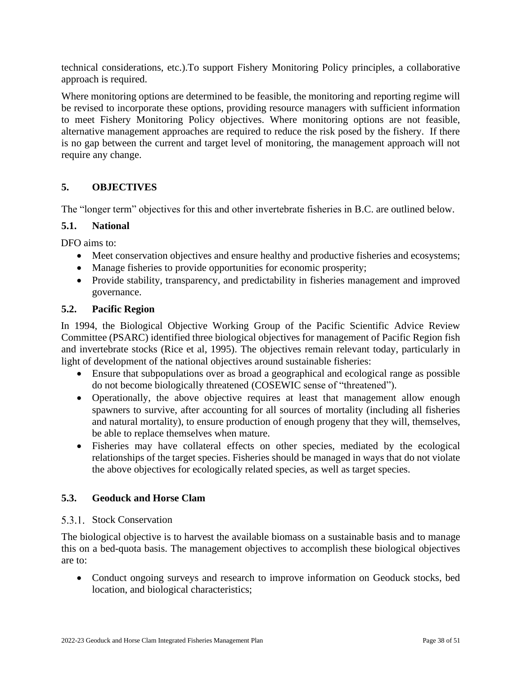technical considerations, etc.).To support Fishery Monitoring Policy principles, a collaborative approach is required.

Where monitoring options are determined to be feasible, the monitoring and reporting regime will be revised to incorporate these options, providing resource managers with sufficient information to meet Fishery Monitoring Policy objectives. Where monitoring options are not feasible, alternative management approaches are required to reduce the risk posed by the fishery. If there is no gap between the current and target level of monitoring, the management approach will not require any change.

## <span id="page-37-0"></span>**5. OBJECTIVES**

The "longer term" objectives for this and other invertebrate fisheries in B.C. are outlined below.

#### <span id="page-37-1"></span>**5.1. National**

DFO aims to:

- Meet conservation objectives and ensure healthy and productive fisheries and ecosystems;
- Manage fisheries to provide opportunities for economic prosperity;
- Provide stability, transparency, and predictability in fisheries management and improved governance.

#### <span id="page-37-2"></span>**5.2. Pacific Region**

In 1994, the Biological Objective Working Group of the Pacific Scientific Advice Review Committee (PSARC) identified three biological objectives for management of Pacific Region fish and invertebrate stocks (Rice et al, 1995). The objectives remain relevant today, particularly in light of development of the national objectives around sustainable fisheries:

- Ensure that subpopulations over as broad a geographical and ecological range as possible do not become biologically threatened (COSEWIC sense of "threatened").
- Operationally, the above objective requires at least that management allow enough spawners to survive, after accounting for all sources of mortality (including all fisheries and natural mortality), to ensure production of enough progeny that they will, themselves, be able to replace themselves when mature.
- Fisheries may have collateral effects on other species, mediated by the ecological relationships of the target species. Fisheries should be managed in ways that do not violate the above objectives for ecologically related species, as well as target species.

#### <span id="page-37-3"></span>**5.3. Geoduck and Horse Clam**

#### 5.3.1. Stock Conservation

The biological objective is to harvest the available biomass on a sustainable basis and to manage this on a bed-quota basis. The management objectives to accomplish these biological objectives are to:

• Conduct ongoing surveys and research to improve information on Geoduck stocks, bed location, and biological characteristics;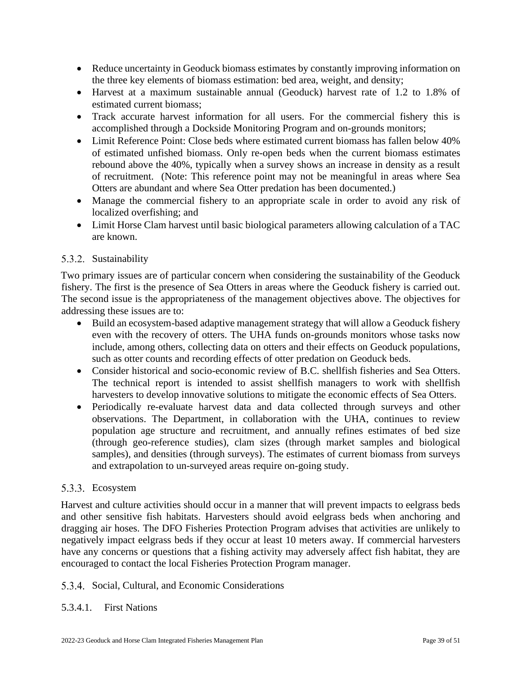- Reduce uncertainty in Geoduck biomass estimates by constantly improving information on the three key elements of biomass estimation: bed area, weight, and density;
- Harvest at a maximum sustainable annual (Geoduck) harvest rate of 1.2 to 1.8% of estimated current biomass;
- Track accurate harvest information for all users. For the commercial fishery this is accomplished through a Dockside Monitoring Program and on-grounds monitors;
- Limit Reference Point: Close beds where estimated current biomass has fallen below 40% of estimated unfished biomass. Only re-open beds when the current biomass estimates rebound above the 40%, typically when a survey shows an increase in density as a result of recruitment. (Note: This reference point may not be meaningful in areas where Sea Otters are abundant and where Sea Otter predation has been documented.)
- Manage the commercial fishery to an appropriate scale in order to avoid any risk of localized overfishing; and
- Limit Horse Clam harvest until basic biological parameters allowing calculation of a TAC are known.

## 5.3.2. Sustainability

Two primary issues are of particular concern when considering the sustainability of the Geoduck fishery. The first is the presence of Sea Otters in areas where the Geoduck fishery is carried out. The second issue is the appropriateness of the management objectives above. The objectives for addressing these issues are to:

- Build an ecosystem-based adaptive management strategy that will allow a Geoduck fishery even with the recovery of otters. The UHA funds on-grounds monitors whose tasks now include, among others, collecting data on otters and their effects on Geoduck populations, such as otter counts and recording effects of otter predation on Geoduck beds.
- Consider historical and socio-economic review of B.C. shellfish fisheries and Sea Otters. The technical report is intended to assist shellfish managers to work with shellfish harvesters to develop innovative solutions to mitigate the economic effects of Sea Otters.
- Periodically re-evaluate harvest data and data collected through surveys and other observations. The Department, in collaboration with the UHA, continues to review population age structure and recruitment, and annually refines estimates of bed size (through geo-reference studies), clam sizes (through market samples and biological samples), and densities (through surveys). The estimates of current biomass from surveys and extrapolation to un-surveyed areas require on-going study.

## 5.3.3. Ecosystem

Harvest and culture activities should occur in a manner that will prevent impacts to eelgrass beds and other sensitive fish habitats. Harvesters should avoid eelgrass beds when anchoring and dragging air hoses. The DFO Fisheries Protection Program advises that activities are unlikely to negatively impact eelgrass beds if they occur at least 10 meters away. If commercial harvesters have any concerns or questions that a fishing activity may adversely affect fish habitat, they are encouraged to contact the local Fisheries Protection Program manager.

## 5.3.4. Social, Cultural, and Economic Considerations

## 5.3.4.1. First Nations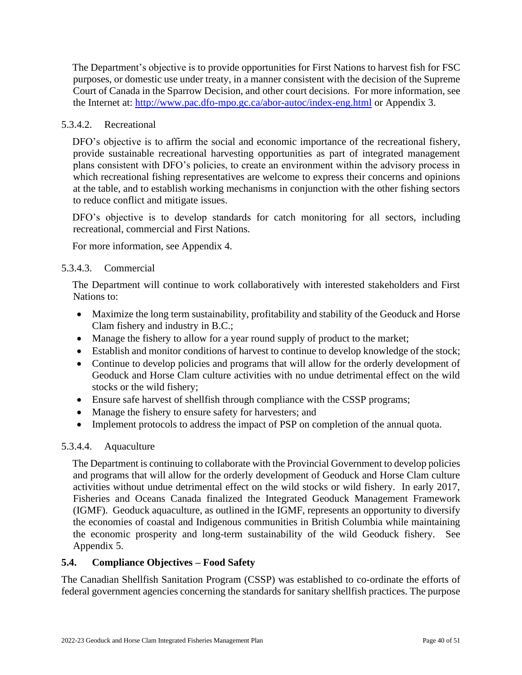The Department's objective is to provide opportunities for First Nations to harvest fish for FSC purposes, or domestic use under treaty, in a manner consistent with the decision of the Supreme Court of Canada in the Sparrow Decision, and other court decisions. For more information, see the Internet at: <http://www.pac.dfo-mpo.gc.ca/abor-autoc/index-eng.html> or Appendix 3.

## 5.3.4.2. Recreational

DFO's objective is to affirm the social and economic importance of the recreational fishery, provide sustainable recreational harvesting opportunities as part of integrated management plans consistent with DFO's policies, to create an environment within the advisory process in which recreational fishing representatives are welcome to express their concerns and opinions at the table, and to establish working mechanisms in conjunction with the other fishing sectors to reduce conflict and mitigate issues.

DFO's objective is to develop standards for catch monitoring for all sectors, including recreational, commercial and First Nations.

For more information, see Appendix 4.

### 5.3.4.3. Commercial

The Department will continue to work collaboratively with interested stakeholders and First Nations to:

- Maximize the long term sustainability, profitability and stability of the Geoduck and Horse Clam fishery and industry in B.C.;
- Manage the fishery to allow for a year round supply of product to the market;
- Establish and monitor conditions of harvest to continue to develop knowledge of the stock;
- Continue to develop policies and programs that will allow for the orderly development of Geoduck and Horse Clam culture activities with no undue detrimental effect on the wild stocks or the wild fishery;
- Ensure safe harvest of shellfish through compliance with the CSSP programs;
- Manage the fishery to ensure safety for harvesters; and
- Implement protocols to address the impact of PSP on completion of the annual quota.

## 5.3.4.4. Aquaculture

The Department is continuing to collaborate with the Provincial Government to develop policies and programs that will allow for the orderly development of Geoduck and Horse Clam culture activities without undue detrimental effect on the wild stocks or wild fishery. In early 2017, Fisheries and Oceans Canada finalized the Integrated Geoduck Management Framework (IGMF). Geoduck aquaculture, as outlined in the IGMF, represents an opportunity to diversify the economies of coastal and Indigenous communities in British Columbia while maintaining the economic prosperity and long-term sustainability of the wild Geoduck fishery. See Appendix 5.

#### <span id="page-39-0"></span>**5.4. Compliance Objectives – Food Safety**

The Canadian Shellfish Sanitation Program (CSSP) was established to co-ordinate the efforts of federal government agencies concerning the standards for sanitary shellfish practices. The purpose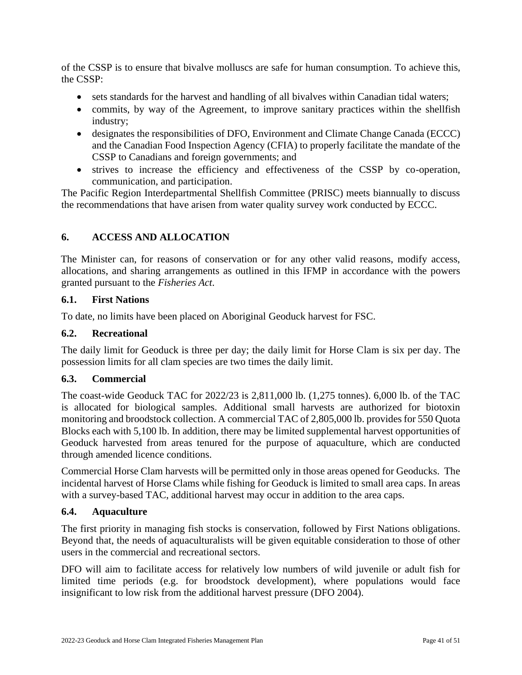of the CSSP is to ensure that bivalve molluscs are safe for human consumption. To achieve this, the CSSP:

- sets standards for the harvest and handling of all bivalves within Canadian tidal waters;
- commits, by way of the Agreement, to improve sanitary practices within the shellfish industry;
- designates the responsibilities of DFO, Environment and Climate Change Canada (ECCC) and the Canadian Food Inspection Agency (CFIA) to properly facilitate the mandate of the CSSP to Canadians and foreign governments; and
- strives to increase the efficiency and effectiveness of the CSSP by co-operation, communication, and participation.

The Pacific Region Interdepartmental Shellfish Committee (PRISC) meets biannually to discuss the recommendations that have arisen from water quality survey work conducted by ECCC.

## <span id="page-40-0"></span>**6. ACCESS AND ALLOCATION**

The Minister can, for reasons of conservation or for any other valid reasons, modify access, allocations, and sharing arrangements as outlined in this IFMP in accordance with the powers granted pursuant to the *Fisheries Act*.

### <span id="page-40-1"></span>**6.1. First Nations**

To date, no limits have been placed on Aboriginal Geoduck harvest for FSC.

### <span id="page-40-2"></span>**6.2. Recreational**

The daily limit for Geoduck is three per day; the daily limit for Horse Clam is six per day. The possession limits for all clam species are two times the daily limit.

#### <span id="page-40-3"></span>**6.3. Commercial**

The coast-wide Geoduck TAC for 2022/23 is 2,811,000 lb. (1,275 tonnes). 6,000 lb. of the TAC is allocated for biological samples. Additional small harvests are authorized for biotoxin monitoring and broodstock collection. A commercial TAC of 2,805,000 lb. provides for 550 Quota Blocks each with 5,100 lb. In addition, there may be limited supplemental harvest opportunities of Geoduck harvested from areas tenured for the purpose of aquaculture, which are conducted through amended licence conditions.

Commercial Horse Clam harvests will be permitted only in those areas opened for Geoducks. The incidental harvest of Horse Clams while fishing for Geoduck is limited to small area caps. In areas with a survey-based TAC, additional harvest may occur in addition to the area caps.

#### <span id="page-40-4"></span>**6.4. Aquaculture**

The first priority in managing fish stocks is conservation, followed by First Nations obligations. Beyond that, the needs of aquaculturalists will be given equitable consideration to those of other users in the commercial and recreational sectors.

DFO will aim to facilitate access for relatively low numbers of wild juvenile or adult fish for limited time periods (e.g. for broodstock development), where populations would face insignificant to low risk from the additional harvest pressure (DFO 2004).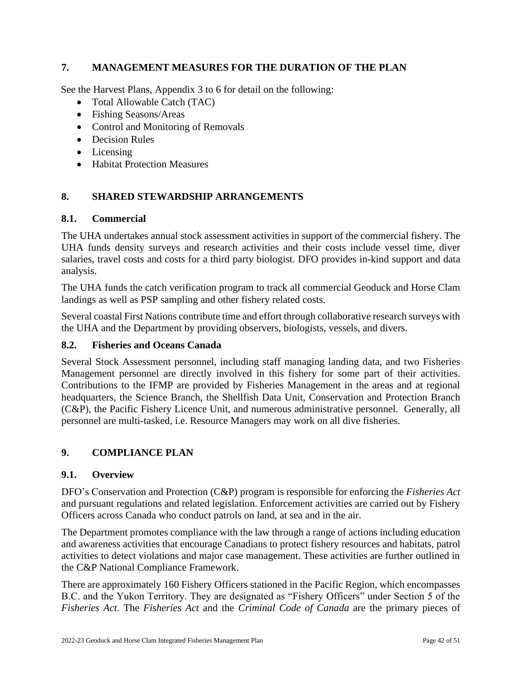## <span id="page-41-0"></span>**7. MANAGEMENT MEASURES FOR THE DURATION OF THE PLAN**

See the Harvest Plans, Appendix 3 to 6 for detail on the following:

- Total Allowable Catch (TAC)
- Fishing Seasons/Areas
- Control and Monitoring of Removals
- Decision Rules
- Licensing
- Habitat Protection Measures

## <span id="page-41-1"></span>**8. SHARED STEWARDSHIP ARRANGEMENTS**

### <span id="page-41-2"></span>**8.1. Commercial**

The UHA undertakes annual stock assessment activities in support of the commercial fishery. The UHA funds density surveys and research activities and their costs include vessel time, diver salaries, travel costs and costs for a third party biologist. DFO provides in-kind support and data analysis.

The UHA funds the catch verification program to track all commercial Geoduck and Horse Clam landings as well as PSP sampling and other fishery related costs.

Several coastal First Nations contribute time and effort through collaborative research surveys with the UHA and the Department by providing observers, biologists, vessels, and divers.

## <span id="page-41-3"></span>**8.2. Fisheries and Oceans Canada**

Several Stock Assessment personnel, including staff managing landing data, and two Fisheries Management personnel are directly involved in this fishery for some part of their activities. Contributions to the IFMP are provided by Fisheries Management in the areas and at regional headquarters, the Science Branch, the Shellfish Data Unit, Conservation and Protection Branch (C&P), the Pacific Fishery Licence Unit, and numerous administrative personnel. Generally, all personnel are multi-tasked, i.e. Resource Managers may work on all dive fisheries.

## <span id="page-41-4"></span>**9. COMPLIANCE PLAN**

#### <span id="page-41-5"></span>**9.1. Overview**

DFO's Conservation and Protection (C&P) program is responsible for enforcing the *Fisheries Act* and pursuant regulations and related legislation. Enforcement activities are carried out by Fishery Officers across Canada who conduct patrols on land, at sea and in the air.

The Department promotes compliance with the law through a range of actions including education and awareness activities that encourage Canadians to protect fishery resources and habitats, patrol activities to detect violations and major case management. These activities are further outlined in the C&P National Compliance Framework.

There are approximately 160 Fishery Officers stationed in the Pacific Region, which encompasses B.C. and the Yukon Territory. They are designated as "Fishery Officers" under Section 5 of the *Fisheries Act*. The *Fisheries Act* and the *Criminal Code of Canada* are the primary pieces of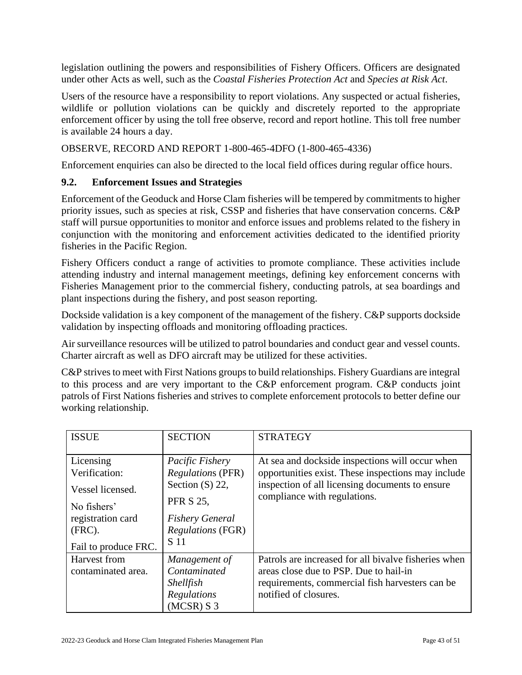legislation outlining the powers and responsibilities of Fishery Officers. Officers are designated under other Acts as well, such as the *Coastal Fisheries Protection Act* and *Species at Risk Act*.

Users of the resource have a responsibility to report violations. Any suspected or actual fisheries, wildlife or pollution violations can be quickly and discretely reported to the appropriate enforcement officer by using the toll free observe, record and report hotline. This toll free number is available 24 hours a day.

OBSERVE, RECORD AND REPORT 1-800-465-4DFO (1-800-465-4336)

Enforcement enquiries can also be directed to the local field offices during regular office hours.

### <span id="page-42-0"></span>**9.2. Enforcement Issues and Strategies**

Enforcement of the Geoduck and Horse Clam fisheries will be tempered by commitments to higher priority issues, such as species at risk, CSSP and fisheries that have conservation concerns. C&P staff will pursue opportunities to monitor and enforce issues and problems related to the fishery in conjunction with the monitoring and enforcement activities dedicated to the identified priority fisheries in the Pacific Region.

Fishery Officers conduct a range of activities to promote compliance. These activities include attending industry and internal management meetings, defining key enforcement concerns with Fisheries Management prior to the commercial fishery, conducting patrols, at sea boardings and plant inspections during the fishery, and post season reporting.

Dockside validation is a key component of the management of the fishery. C&P supports dockside validation by inspecting offloads and monitoring offloading practices.

Air surveillance resources will be utilized to patrol boundaries and conduct gear and vessel counts. Charter aircraft as well as DFO aircraft may be utilized for these activities.

C&P strives to meet with First Nations groups to build relationships. Fishery Guardians are integral to this process and are very important to the C&P enforcement program. C&P conducts joint patrols of First Nations fisheries and strives to complete enforcement protocols to better define our working relationship.

| <b>ISSUE</b>                                                                                                            | <b>SECTION</b>                                                                                                                                     | <b>STRATEGY</b>                                                                                                                                                                          |
|-------------------------------------------------------------------------------------------------------------------------|----------------------------------------------------------------------------------------------------------------------------------------------------|------------------------------------------------------------------------------------------------------------------------------------------------------------------------------------------|
| Licensing<br>Verification:<br>Vessel licensed.<br>No fishers'<br>registration card<br>$(FRC)$ .<br>Fail to produce FRC. | Pacific Fishery<br><b>Regulations (PFR)</b><br>Section $(S)$ 22,<br><b>PFR S 25,</b><br><b>Fishery General</b><br><i>Regulations</i> (FGR)<br>S 11 | At sea and dockside inspections will occur when<br>opportunities exist. These inspections may include<br>inspection of all licensing documents to ensure<br>compliance with regulations. |
| Harvest from<br>contaminated area.                                                                                      | Management of<br>Contaminated<br><b>Shellfish</b><br>Regulations<br>$(MCSR)$ S 3                                                                   | Patrols are increased for all bivalve fisheries when<br>areas close due to PSP. Due to hail-in<br>requirements, commercial fish harvesters can be<br>notified of closures.               |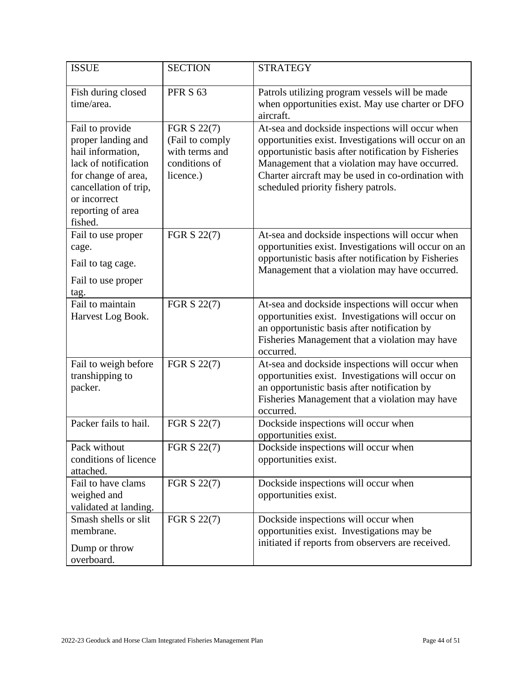| <b>ISSUE</b>                                                                                                                                                                       | <b>SECTION</b>                                                                 | <b>STRATEGY</b>                                                                                                                                                                                                                                                                                               |
|------------------------------------------------------------------------------------------------------------------------------------------------------------------------------------|--------------------------------------------------------------------------------|---------------------------------------------------------------------------------------------------------------------------------------------------------------------------------------------------------------------------------------------------------------------------------------------------------------|
| Fish during closed<br>time/area.                                                                                                                                                   | <b>PFR S 63</b>                                                                | Patrols utilizing program vessels will be made<br>when opportunities exist. May use charter or DFO<br>aircraft.                                                                                                                                                                                               |
| Fail to provide<br>proper landing and<br>hail information,<br>lack of notification<br>for change of area,<br>cancellation of trip,<br>or incorrect<br>reporting of area<br>fished. | FGR S 22(7)<br>(Fail to comply<br>with terms and<br>conditions of<br>licence.) | At-sea and dockside inspections will occur when<br>opportunities exist. Investigations will occur on an<br>opportunistic basis after notification by Fisheries<br>Management that a violation may have occurred.<br>Charter aircraft may be used in co-ordination with<br>scheduled priority fishery patrols. |
| Fail to use proper<br>cage.<br>Fail to tag cage.<br>Fail to use proper<br>tag.                                                                                                     | FGR S 22(7)                                                                    | At-sea and dockside inspections will occur when<br>opportunities exist. Investigations will occur on an<br>opportunistic basis after notification by Fisheries<br>Management that a violation may have occurred.                                                                                              |
| Fail to maintain<br>Harvest Log Book.                                                                                                                                              | FGR S 22(7)                                                                    | At-sea and dockside inspections will occur when<br>opportunities exist. Investigations will occur on<br>an opportunistic basis after notification by<br>Fisheries Management that a violation may have<br>occurred.                                                                                           |
| Fail to weigh before<br>transhipping to<br>packer.                                                                                                                                 | FGR S 22(7)                                                                    | At-sea and dockside inspections will occur when<br>opportunities exist. Investigations will occur on<br>an opportunistic basis after notification by<br>Fisheries Management that a violation may have<br>occurred.                                                                                           |
| Packer fails to hail.                                                                                                                                                              | FGR S 22(7)                                                                    | Dockside inspections will occur when<br>opportunities exist.                                                                                                                                                                                                                                                  |
| Pack without<br>conditions of licence<br>attached.                                                                                                                                 | FGR S 22(7)                                                                    | Dockside inspections will occur when<br>opportunities exist.                                                                                                                                                                                                                                                  |
| Fail to have clams<br>weighed and<br>validated at landing.                                                                                                                         | FGR S 22(7)                                                                    | Dockside inspections will occur when<br>opportunities exist.                                                                                                                                                                                                                                                  |
| Smash shells or slit<br>membrane.<br>Dump or throw<br>overboard.                                                                                                                   | FGR S 22(7)                                                                    | Dockside inspections will occur when<br>opportunities exist. Investigations may be<br>initiated if reports from observers are received.                                                                                                                                                                       |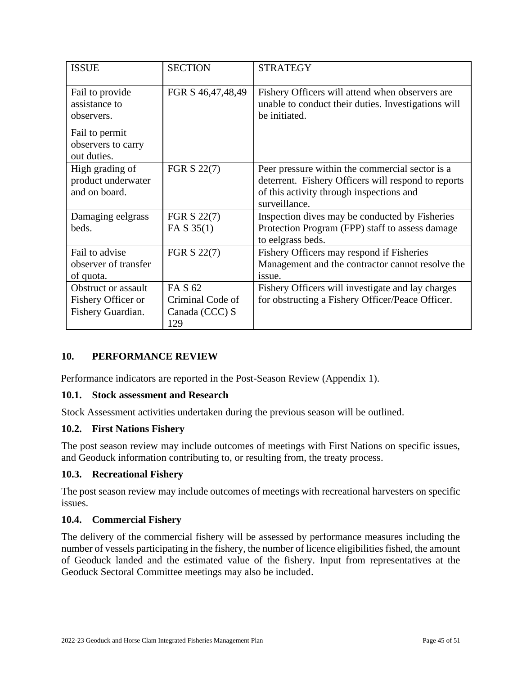| <b>ISSUE</b>                                                                                          | <b>SECTION</b>                                       | <b>STRATEGY</b>                                                                                                                                                     |
|-------------------------------------------------------------------------------------------------------|------------------------------------------------------|---------------------------------------------------------------------------------------------------------------------------------------------------------------------|
| Fail to provide<br>assistance to<br>observers.<br>Fail to permit<br>observers to carry<br>out duties. | FGR S 46,47,48,49                                    | Fishery Officers will attend when observers are<br>unable to conduct their duties. Investigations will<br>be initiated.                                             |
| High grading of<br>product underwater<br>and on board.                                                | FGR S 22(7)                                          | Peer pressure within the commercial sector is a<br>deterrent. Fishery Officers will respond to reports<br>of this activity through inspections and<br>surveillance. |
| Damaging eelgrass<br>beds.                                                                            | FGR S 22(7)<br>FA $S$ 35(1)                          | Inspection dives may be conducted by Fisheries<br>Protection Program (FPP) staff to assess damage<br>to eelgrass beds.                                              |
| Fail to advise<br>observer of transfer<br>of quota.                                                   | FGR S 22(7)                                          | Fishery Officers may respond if Fisheries<br>Management and the contractor cannot resolve the<br>issue.                                                             |
| Obstruct or assault<br>Fishery Officer or<br>Fishery Guardian.                                        | FA S 62<br>Criminal Code of<br>Canada (CCC) S<br>129 | Fishery Officers will investigate and lay charges<br>for obstructing a Fishery Officer/Peace Officer.                                                               |

## <span id="page-44-0"></span>**10. PERFORMANCE REVIEW**

Performance indicators are reported in the Post-Season Review (Appendix 1).

#### <span id="page-44-1"></span>**10.1. Stock assessment and Research**

Stock Assessment activities undertaken during the previous season will be outlined.

## <span id="page-44-2"></span>**10.2. First Nations Fishery**

The post season review may include outcomes of meetings with First Nations on specific issues, and Geoduck information contributing to, or resulting from, the treaty process.

#### <span id="page-44-3"></span>**10.3. Recreational Fishery**

The post season review may include outcomes of meetings with recreational harvesters on specific issues.

#### <span id="page-44-4"></span>**10.4. Commercial Fishery**

The delivery of the commercial fishery will be assessed by performance measures including the number of vessels participating in the fishery, the number of licence eligibilities fished, the amount of Geoduck landed and the estimated value of the fishery. Input from representatives at the Geoduck Sectoral Committee meetings may also be included.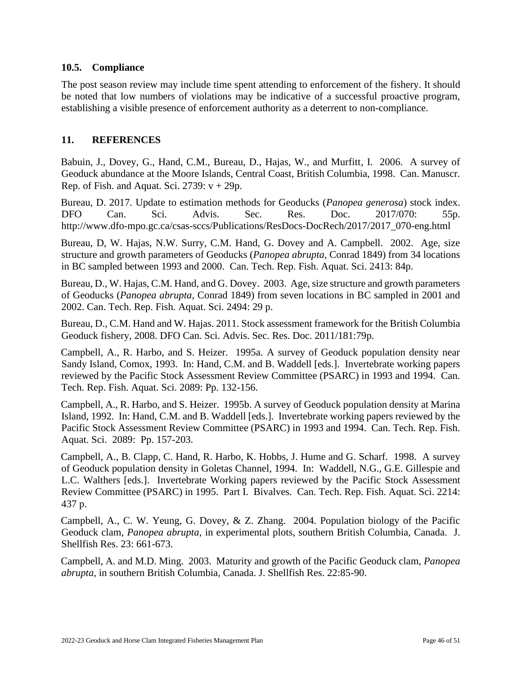#### <span id="page-45-0"></span>**10.5. Compliance**

The post season review may include time spent attending to enforcement of the fishery. It should be noted that low numbers of violations may be indicative of a successful proactive program, establishing a visible presence of enforcement authority as a deterrent to non-compliance.

## <span id="page-45-1"></span>**11. REFERENCES**

Babuin, J., Dovey, G., Hand, C.M., Bureau, D., Hajas, W., and Murfitt, I. 2006. A survey of Geoduck abundance at the Moore Islands, Central Coast, British Columbia, 1998. Can. Manuscr. Rep. of Fish. and Aquat. Sci. 2739:  $v + 29p$ .

Bureau, D. 2017. Update to estimation methods for Geoducks (*Panopea generosa*) stock index. DFO Can. Sci. Advis. Sec. Res. Doc. 2017/070: 55p. http://www.dfo-mpo.gc.ca/csas-sccs/Publications/ResDocs-DocRech/2017/2017\_070-eng.html

Bureau, D, W. Hajas, N.W. Surry, C.M. Hand, G. Dovey and A. Campbell. 2002. Age, size structure and growth parameters of Geoducks (*Panopea abrupta*, Conrad 1849) from 34 locations in BC sampled between 1993 and 2000. Can. Tech. Rep. Fish. Aquat. Sci. 2413: 84p.

Bureau, D., W. Hajas, C.M. Hand, and G. Dovey. 2003. Age, size structure and growth parameters of Geoducks (*Panopea abrupta*, Conrad 1849) from seven locations in BC sampled in 2001 and 2002. Can. Tech. Rep. Fish. Aquat. Sci. 2494: 29 p.

Bureau, D., C.M. Hand and W. Hajas. 2011. Stock assessment framework for the British Columbia Geoduck fishery, 2008. DFO Can. Sci. Advis. Sec. Res. Doc. 2011/181:79p.

Campbell, A., R. Harbo, and S. Heizer. 1995a. A survey of Geoduck population density near Sandy Island, Comox, 1993. In: Hand, C.M. and B. Waddell [eds.]. Invertebrate working papers reviewed by the Pacific Stock Assessment Review Committee (PSARC) in 1993 and 1994. Can. Tech. Rep. Fish. Aquat. Sci. 2089: Pp. 132-156.

Campbell, A., R. Harbo, and S. Heizer. 1995b. A survey of Geoduck population density at Marina Island, 1992. In: Hand, C.M. and B. Waddell [eds.]. Invertebrate working papers reviewed by the Pacific Stock Assessment Review Committee (PSARC) in 1993 and 1994. Can. Tech. Rep. Fish. Aquat. Sci. 2089: Pp. 157-203.

Campbell, A., B. Clapp, C. Hand, R. Harbo, K. Hobbs, J. Hume and G. Scharf. 1998. A survey of Geoduck population density in Goletas Channel, 1994. In: Waddell, N.G., G.E. Gillespie and L.C. Walthers [eds.]. Invertebrate Working papers reviewed by the Pacific Stock Assessment Review Committee (PSARC) in 1995. Part I. Bivalves. Can. Tech. Rep. Fish. Aquat. Sci. 2214: 437 p.

Campbell, A., C. W. Yeung, G. Dovey, & Z. Zhang. 2004. Population biology of the Pacific Geoduck clam, *Panopea abrupta*, in experimental plots, southern British Columbia, Canada. J. Shellfish Res. 23: 661-673.

Campbell, A. and M.D. Ming. 2003. Maturity and growth of the Pacific Geoduck clam, *Panopea abrupta*, in southern British Columbia, Canada. J. Shellfish Res. 22:85-90.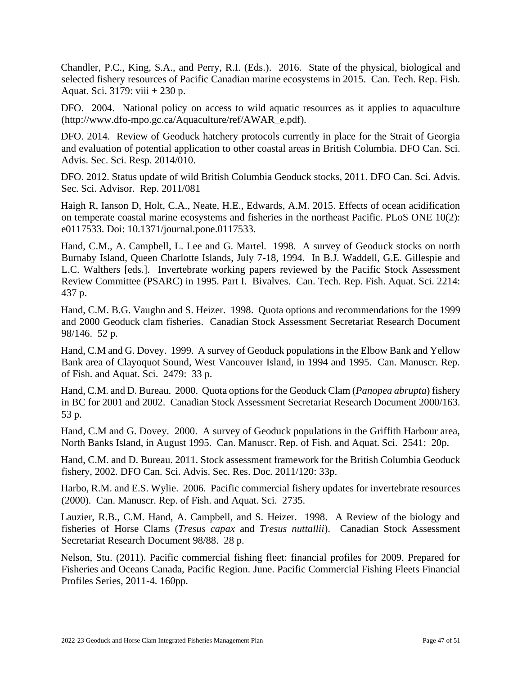Chandler, P.C., King, S.A., and Perry, R.I. (Eds.). 2016. State of the physical, biological and selected fishery resources of Pacific Canadian marine ecosystems in 2015. Can. Tech. Rep. Fish. Aquat. Sci. 3179: viii + 230 p.

DFO. 2004. National policy on access to wild aquatic resources as it applies to aquaculture (http://www.dfo-mpo.gc.ca/Aquaculture/ref/AWAR\_e.pdf).

DFO. 2014. Review of Geoduck hatchery protocols currently in place for the Strait of Georgia and evaluation of potential application to other coastal areas in British Columbia. DFO Can. Sci. Advis. Sec. Sci. Resp. 2014/010.

DFO. 2012. Status update of wild British Columbia Geoduck stocks, 2011. DFO Can. Sci. Advis. Sec. Sci. Advisor. Rep. 2011/081

Haigh R, Ianson D, Holt, C.A., Neate, H.E., Edwards, A.M. 2015. Effects of ocean acidification on temperate coastal marine ecosystems and fisheries in the northeast Pacific. PLoS ONE 10(2): e0117533. Doi: 10.1371/journal.pone.0117533.

Hand, C.M., A. Campbell, L. Lee and G. Martel. 1998. A survey of Geoduck stocks on north Burnaby Island, Queen Charlotte Islands, July 7-18, 1994. In B.J. Waddell, G.E. Gillespie and L.C. Walthers [eds.]. Invertebrate working papers reviewed by the Pacific Stock Assessment Review Committee (PSARC) in 1995. Part I. Bivalves. Can. Tech. Rep. Fish. Aquat. Sci. 2214: 437 p.

Hand, C.M. B.G. Vaughn and S. Heizer. 1998. Quota options and recommendations for the 1999 and 2000 Geoduck clam fisheries. Canadian Stock Assessment Secretariat Research Document 98/146. 52 p.

Hand, C.M and G. Dovey. 1999. A survey of Geoduck populations in the Elbow Bank and Yellow Bank area of Clayoquot Sound, West Vancouver Island, in 1994 and 1995. Can. Manuscr. Rep. of Fish. and Aquat. Sci. 2479: 33 p.

Hand, C.M. and D. Bureau. 2000. Quota options for the Geoduck Clam (*Panopea abrupta*) fishery in BC for 2001 and 2002. Canadian Stock Assessment Secretariat Research Document 2000/163. 53 p.

Hand, C.M and G. Dovey. 2000. A survey of Geoduck populations in the Griffith Harbour area, North Banks Island, in August 1995. Can. Manuscr. Rep. of Fish. and Aquat. Sci. 2541: 20p.

Hand, C.M. and D. Bureau. 2011. Stock assessment framework for the British Columbia Geoduck fishery, 2002. DFO Can. Sci. Advis. Sec. Res. Doc. 2011/120: 33p.

Harbo, R.M. and E.S. Wylie. 2006. Pacific commercial fishery updates for invertebrate resources (2000). Can. Manuscr. Rep. of Fish. and Aquat. Sci. 2735.

Lauzier, R.B., C.M. Hand, A. Campbell, and S. Heizer. 1998. A Review of the biology and fisheries of Horse Clams (*Tresus capax* and *Tresus nuttallii*). Canadian Stock Assessment Secretariat Research Document 98/88. 28 p.

Nelson, Stu. (2011). Pacific commercial fishing fleet: financial profiles for 2009. Prepared for Fisheries and Oceans Canada, Pacific Region. June. Pacific Commercial Fishing Fleets Financial Profiles Series, 2011-4. 160pp.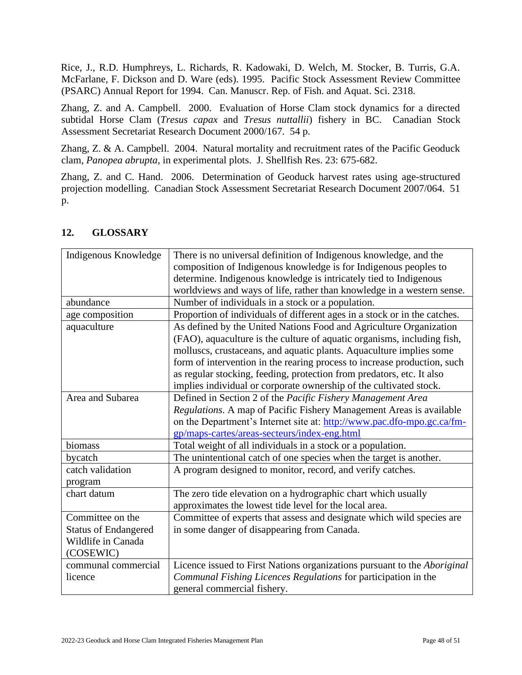Rice, J., R.D. Humphreys, L. Richards, R. Kadowaki, D. Welch, M. Stocker, B. Turris, G.A. McFarlane, F. Dickson and D. Ware (eds). 1995. Pacific Stock Assessment Review Committee (PSARC) Annual Report for 1994. Can. Manuscr. Rep. of Fish. and Aquat. Sci. 2318.

Zhang, Z. and A. Campbell. 2000. Evaluation of Horse Clam stock dynamics for a directed subtidal Horse Clam (*Tresus capax* and *Tresus nuttallii*) fishery in BC. Canadian Stock Assessment Secretariat Research Document 2000/167. 54 p.

Zhang, Z. & A. Campbell. 2004. Natural mortality and recruitment rates of the Pacific Geoduck clam, *Panopea abrupta*, in experimental plots. J. Shellfish Res. 23: 675-682.

Zhang, Z. and C. Hand. 2006. Determination of Geoduck harvest rates using age-structured projection modelling. Canadian Stock Assessment Secretariat Research Document 2007/064. 51 p.

| Indigenous Knowledge        | There is no universal definition of Indigenous knowledge, and the         |
|-----------------------------|---------------------------------------------------------------------------|
|                             | composition of Indigenous knowledge is for Indigenous peoples to          |
|                             | determine. Indigenous knowledge is intricately tied to Indigenous         |
|                             | worldviews and ways of life, rather than knowledge in a western sense.    |
| abundance                   | Number of individuals in a stock or a population.                         |
| age composition             | Proportion of individuals of different ages in a stock or in the catches. |
| aquaculture                 | As defined by the United Nations Food and Agriculture Organization        |
|                             | (FAO), aquaculture is the culture of aquatic organisms, including fish,   |
|                             | molluscs, crustaceans, and aquatic plants. Aquaculture implies some       |
|                             | form of intervention in the rearing process to increase production, such  |
|                             | as regular stocking, feeding, protection from predators, etc. It also     |
|                             | implies individual or corporate ownership of the cultivated stock.        |
| Area and Subarea            | Defined in Section 2 of the Pacific Fishery Management Area               |
|                             | Regulations. A map of Pacific Fishery Management Areas is available       |
|                             | on the Department's Internet site at: http://www.pac.dfo-mpo.gc.ca/fm-    |
|                             | gp/maps-cartes/areas-secteurs/index-eng.html                              |
| biomass                     | Total weight of all individuals in a stock or a population.               |
| bycatch                     | The unintentional catch of one species when the target is another.        |
| catch validation            | A program designed to monitor, record, and verify catches.                |
| program                     |                                                                           |
| chart datum                 | The zero tide elevation on a hydrographic chart which usually             |
|                             | approximates the lowest tide level for the local area.                    |
| Committee on the            | Committee of experts that assess and designate which wild species are     |
| <b>Status of Endangered</b> | in some danger of disappearing from Canada.                               |
| Wildlife in Canada          |                                                                           |
| (COSEWIC)                   |                                                                           |
| communal commercial         | Licence issued to First Nations organizations pursuant to the Aboriginal  |
| licence                     | Communal Fishing Licences Regulations for participation in the            |
|                             | general commercial fishery.                                               |

## <span id="page-47-0"></span>**12. GLOSSARY**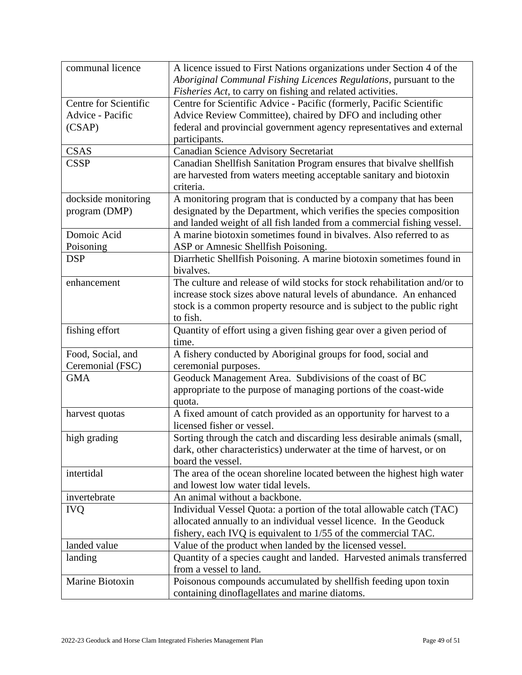| communal licence      | A licence issued to First Nations organizations under Section 4 of the    |
|-----------------------|---------------------------------------------------------------------------|
|                       | Aboriginal Communal Fishing Licences Regulations, pursuant to the         |
|                       | Fisheries Act, to carry on fishing and related activities.                |
| Centre for Scientific | Centre for Scientific Advice - Pacific (formerly, Pacific Scientific      |
| Advice - Pacific      | Advice Review Committee), chaired by DFO and including other              |
| (CSAP)                | federal and provincial government agency representatives and external     |
|                       | participants.                                                             |
| <b>CSAS</b>           | Canadian Science Advisory Secretariat                                     |
| <b>CSSP</b>           | Canadian Shellfish Sanitation Program ensures that bivalve shellfish      |
|                       | are harvested from waters meeting acceptable sanitary and biotoxin        |
|                       | criteria.                                                                 |
| dockside monitoring   | A monitoring program that is conducted by a company that has been         |
| program (DMP)         | designated by the Department, which verifies the species composition      |
|                       | and landed weight of all fish landed from a commercial fishing vessel.    |
| Domoic Acid           | A marine biotoxin sometimes found in bivalves. Also referred to as        |
| Poisoning             | ASP or Amnesic Shellfish Poisoning.                                       |
| <b>DSP</b>            | Diarrhetic Shellfish Poisoning. A marine biotoxin sometimes found in      |
|                       | bivalves.                                                                 |
| enhancement           | The culture and release of wild stocks for stock rehabilitation and/or to |
|                       | increase stock sizes above natural levels of abundance. An enhanced       |
|                       | stock is a common property resource and is subject to the public right    |
|                       | to fish.                                                                  |
| fishing effort        | Quantity of effort using a given fishing gear over a given period of      |
|                       | time.                                                                     |
| Food, Social, and     | A fishery conducted by Aboriginal groups for food, social and             |
| Ceremonial (FSC)      | ceremonial purposes.                                                      |
| <b>GMA</b>            | Geoduck Management Area. Subdivisions of the coast of BC                  |
|                       | appropriate to the purpose of managing portions of the coast-wide         |
|                       | quota.                                                                    |
| harvest quotas        | A fixed amount of catch provided as an opportunity for harvest to a       |
|                       | licensed fisher or vessel.                                                |
| high grading          | Sorting through the catch and discarding less desirable animals (small,   |
|                       | dark, other characteristics) underwater at the time of harvest, or on     |
|                       | board the vessel.                                                         |
| intertidal            | The area of the ocean shoreline located between the highest high water    |
|                       | and lowest low water tidal levels.                                        |
| invertebrate          | An animal without a backbone.                                             |
| <b>IVQ</b>            | Individual Vessel Quota: a portion of the total allowable catch (TAC)     |
|                       | allocated annually to an individual vessel licence. In the Geoduck        |
|                       | fishery, each IVQ is equivalent to 1/55 of the commercial TAC.            |
| landed value          | Value of the product when landed by the licensed vessel.                  |
| landing               | Quantity of a species caught and landed. Harvested animals transferred    |
|                       | from a vessel to land.                                                    |
| Marine Biotoxin       | Poisonous compounds accumulated by shellfish feeding upon toxin           |
|                       | containing dinoflagellates and marine diatoms.                            |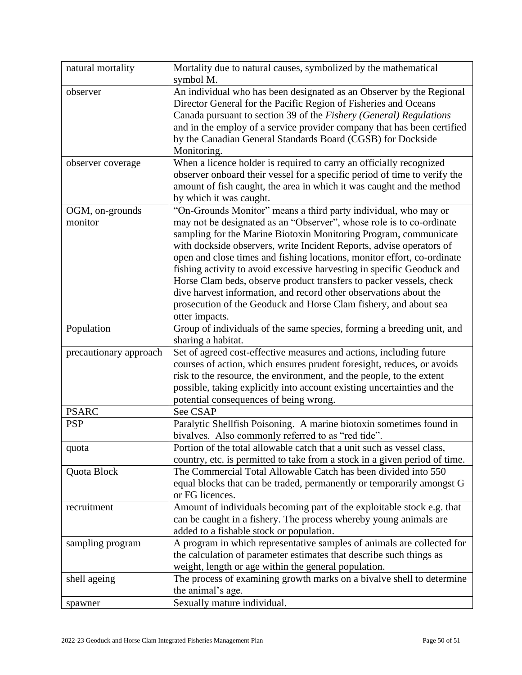| natural mortality      | Mortality due to natural causes, symbolized by the mathematical<br>symbol M.                                                                  |
|------------------------|-----------------------------------------------------------------------------------------------------------------------------------------------|
| observer               | An individual who has been designated as an Observer by the Regional                                                                          |
|                        | Director General for the Pacific Region of Fisheries and Oceans                                                                               |
|                        | Canada pursuant to section 39 of the Fishery (General) Regulations                                                                            |
|                        | and in the employ of a service provider company that has been certified                                                                       |
|                        | by the Canadian General Standards Board (CGSB) for Dockside                                                                                   |
|                        | Monitoring.                                                                                                                                   |
| observer coverage      | When a licence holder is required to carry an officially recognized                                                                           |
|                        | observer onboard their vessel for a specific period of time to verify the                                                                     |
|                        | amount of fish caught, the area in which it was caught and the method                                                                         |
|                        | by which it was caught.                                                                                                                       |
| OGM, on-grounds        | "On-Grounds Monitor" means a third party individual, who may or                                                                               |
| monitor                | may not be designated as an "Observer", whose role is to co-ordinate                                                                          |
|                        | sampling for the Marine Biotoxin Monitoring Program, communicate                                                                              |
|                        | with dockside observers, write Incident Reports, advise operators of                                                                          |
|                        | open and close times and fishing locations, monitor effort, co-ordinate                                                                       |
|                        | fishing activity to avoid excessive harvesting in specific Geoduck and                                                                        |
|                        | Horse Clam beds, observe product transfers to packer vessels, check                                                                           |
|                        | dive harvest information, and record other observations about the                                                                             |
|                        | prosecution of the Geoduck and Horse Clam fishery, and about sea                                                                              |
|                        | otter impacts.                                                                                                                                |
| Population             | Group of individuals of the same species, forming a breeding unit, and                                                                        |
|                        | sharing a habitat.                                                                                                                            |
| precautionary approach | Set of agreed cost-effective measures and actions, including future                                                                           |
|                        | courses of action, which ensures prudent foresight, reduces, or avoids                                                                        |
|                        | risk to the resource, the environment, and the people, to the extent                                                                          |
|                        | possible, taking explicitly into account existing uncertainties and the                                                                       |
|                        | potential consequences of being wrong.                                                                                                        |
| <b>PSARC</b>           | See CSAP                                                                                                                                      |
| <b>PSP</b>             | Paralytic Shellfish Poisoning. A marine biotoxin sometimes found in                                                                           |
|                        | bivalves. Also commonly referred to as "red tide".                                                                                            |
| quota                  | Portion of the total allowable catch that a unit such as vessel class,                                                                        |
|                        | country, etc. is permitted to take from a stock in a given period of time.                                                                    |
| Quota Block            | The Commercial Total Allowable Catch has been divided into 550                                                                                |
|                        | equal blocks that can be traded, permanently or temporarily amongst G                                                                         |
|                        | or FG licences.                                                                                                                               |
| recruitment            | Amount of individuals becoming part of the exploitable stock e.g. that                                                                        |
|                        | can be caught in a fishery. The process whereby young animals are                                                                             |
|                        | added to a fishable stock or population.                                                                                                      |
| sampling program       | A program in which representative samples of animals are collected for<br>the calculation of parameter estimates that describe such things as |
|                        | weight, length or age within the general population.                                                                                          |
| shell ageing           | The process of examining growth marks on a bivalve shell to determine                                                                         |
|                        | the animal's age.                                                                                                                             |
|                        | Sexually mature individual.                                                                                                                   |
| spawner                |                                                                                                                                               |